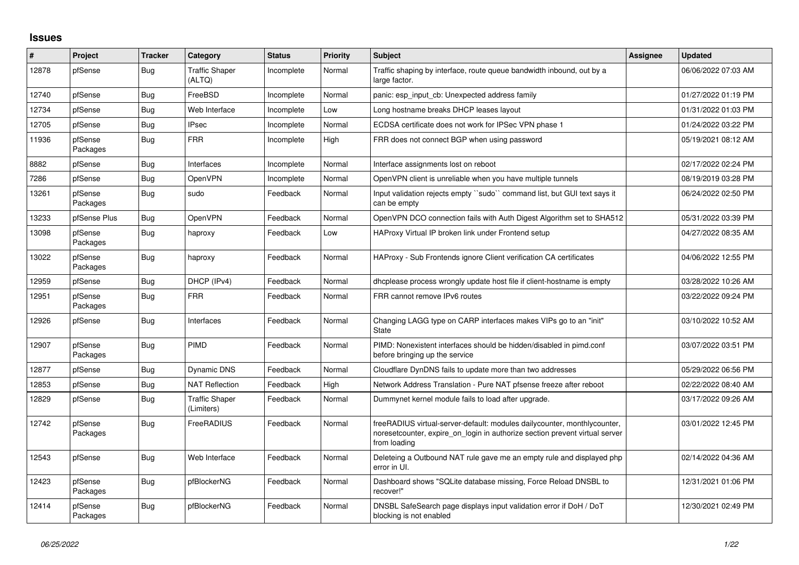## **Issues**

| #     | Project             | <b>Tracker</b> | Category                            | <b>Status</b> | <b>Priority</b> | <b>Subject</b>                                                                                                                                                          | Assignee | Updated             |
|-------|---------------------|----------------|-------------------------------------|---------------|-----------------|-------------------------------------------------------------------------------------------------------------------------------------------------------------------------|----------|---------------------|
| 12878 | pfSense             | <b>Bug</b>     | <b>Traffic Shaper</b><br>(ALTQ)     | Incomplete    | Normal          | Traffic shaping by interface, route queue bandwidth inbound, out by a<br>large factor.                                                                                  |          | 06/06/2022 07:03 AM |
| 12740 | pfSense             | Bug            | FreeBSD                             | Incomplete    | Normal          | panic: esp input cb: Unexpected address family                                                                                                                          |          | 01/27/2022 01:19 PM |
| 12734 | pfSense             | <b>Bug</b>     | Web Interface                       | Incomplete    | Low             | Long hostname breaks DHCP leases layout                                                                                                                                 |          | 01/31/2022 01:03 PM |
| 12705 | pfSense             | <b>Bug</b>     | <b>IPsec</b>                        | Incomplete    | Normal          | ECDSA certificate does not work for IPSec VPN phase 1                                                                                                                   |          | 01/24/2022 03:22 PM |
| 11936 | pfSense<br>Packages | Bug            | <b>FRR</b>                          | Incomplete    | High            | FRR does not connect BGP when using password                                                                                                                            |          | 05/19/2021 08:12 AM |
| 8882  | pfSense             | Bug            | Interfaces                          | Incomplete    | Normal          | Interface assignments lost on reboot                                                                                                                                    |          | 02/17/2022 02:24 PM |
| 7286  | pfSense             | <b>Bug</b>     | OpenVPN                             | Incomplete    | Normal          | OpenVPN client is unreliable when you have multiple tunnels                                                                                                             |          | 08/19/2019 03:28 PM |
| 13261 | pfSense<br>Packages | Bug            | sudo                                | Feedback      | Normal          | Input validation rejects empty ``sudo`` command list, but GUI text says it<br>can be empty                                                                              |          | 06/24/2022 02:50 PM |
| 13233 | pfSense Plus        | Bug            | OpenVPN                             | Feedback      | Normal          | OpenVPN DCO connection fails with Auth Digest Algorithm set to SHA512                                                                                                   |          | 05/31/2022 03:39 PM |
| 13098 | pfSense<br>Packages | <b>Bug</b>     | haproxy                             | Feedback      | Low             | HAProxy Virtual IP broken link under Frontend setup                                                                                                                     |          | 04/27/2022 08:35 AM |
| 13022 | pfSense<br>Packages | Bug            | haproxy                             | Feedback      | Normal          | HAProxy - Sub Frontends ignore Client verification CA certificates                                                                                                      |          | 04/06/2022 12:55 PM |
| 12959 | pfSense             | Bug            | DHCP (IPv4)                         | Feedback      | Normal          | dhoplease process wrongly update host file if client-hostname is empty                                                                                                  |          | 03/28/2022 10:26 AM |
| 12951 | pfSense<br>Packages | <b>Bug</b>     | <b>FRR</b>                          | Feedback      | Normal          | FRR cannot remove IPv6 routes                                                                                                                                           |          | 03/22/2022 09:24 PM |
| 12926 | pfSense             | Bug            | Interfaces                          | Feedback      | Normal          | Changing LAGG type on CARP interfaces makes VIPs go to an "init"<br>State                                                                                               |          | 03/10/2022 10:52 AM |
| 12907 | pfSense<br>Packages | Bug            | PIMD                                | Feedback      | Normal          | PIMD: Nonexistent interfaces should be hidden/disabled in pimd.conf<br>before bringing up the service                                                                   |          | 03/07/2022 03:51 PM |
| 12877 | pfSense             | <b>Bug</b>     | Dynamic DNS                         | Feedback      | Normal          | Cloudflare DynDNS fails to update more than two addresses                                                                                                               |          | 05/29/2022 06:56 PM |
| 12853 | pfSense             | Bug            | <b>NAT Reflection</b>               | Feedback      | High            | Network Address Translation - Pure NAT pfsense freeze after reboot                                                                                                      |          | 02/22/2022 08:40 AM |
| 12829 | pfSense             | Bug            | <b>Traffic Shaper</b><br>(Limiters) | Feedback      | Normal          | Dummynet kernel module fails to load after upgrade.                                                                                                                     |          | 03/17/2022 09:26 AM |
| 12742 | pfSense<br>Packages | <b>Bug</b>     | FreeRADIUS                          | Feedback      | Normal          | freeRADIUS virtual-server-default: modules dailycounter, monthlycounter,<br>noresetcounter, expire on login in authorize section prevent virtual server<br>from loading |          | 03/01/2022 12:45 PM |
| 12543 | pfSense             | Bug            | Web Interface                       | Feedback      | Normal          | Deleteing a Outbound NAT rule gave me an empty rule and displayed php<br>error in UI.                                                                                   |          | 02/14/2022 04:36 AM |
| 12423 | pfSense<br>Packages | Bug            | pfBlockerNG                         | Feedback      | Normal          | Dashboard shows "SQLite database missing, Force Reload DNSBL to<br>recover!"                                                                                            |          | 12/31/2021 01:06 PM |
| 12414 | pfSense<br>Packages | <b>Bug</b>     | pfBlockerNG                         | Feedback      | Normal          | DNSBL SafeSearch page displays input validation error if DoH / DoT<br>blocking is not enabled                                                                           |          | 12/30/2021 02:49 PM |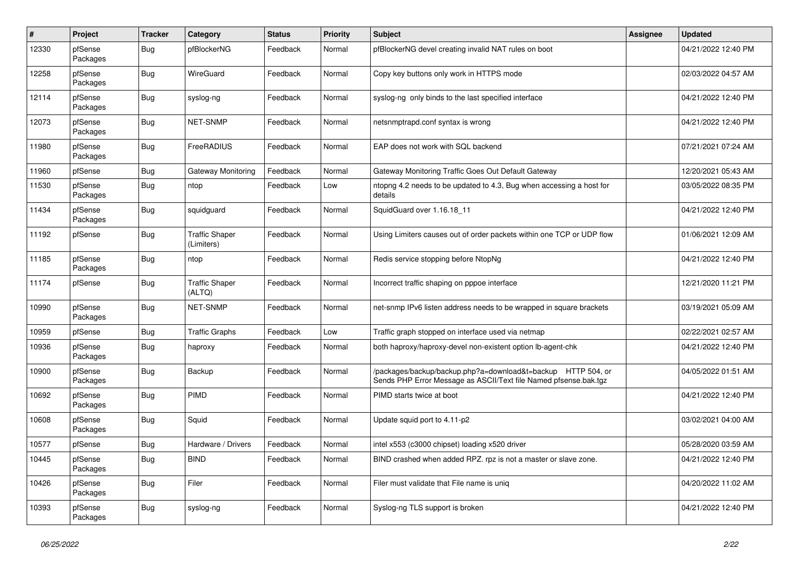| $\sharp$ | Project             | <b>Tracker</b> | Category                            | <b>Status</b> | <b>Priority</b> | <b>Subject</b>                                                                                                                   | <b>Assignee</b> | <b>Updated</b>      |
|----------|---------------------|----------------|-------------------------------------|---------------|-----------------|----------------------------------------------------------------------------------------------------------------------------------|-----------------|---------------------|
| 12330    | pfSense<br>Packages | <b>Bug</b>     | pfBlockerNG                         | Feedback      | Normal          | pfBlockerNG devel creating invalid NAT rules on boot                                                                             |                 | 04/21/2022 12:40 PM |
| 12258    | pfSense<br>Packages | Bug            | WireGuard                           | Feedback      | Normal          | Copy key buttons only work in HTTPS mode                                                                                         |                 | 02/03/2022 04:57 AM |
| 12114    | pfSense<br>Packages | Bug            | syslog-ng                           | Feedback      | Normal          | syslog-ng only binds to the last specified interface                                                                             |                 | 04/21/2022 12:40 PM |
| 12073    | pfSense<br>Packages | <b>Bug</b>     | <b>NET-SNMP</b>                     | Feedback      | Normal          | netsnmptrapd.conf syntax is wrong                                                                                                |                 | 04/21/2022 12:40 PM |
| 11980    | pfSense<br>Packages | Bug            | FreeRADIUS                          | Feedback      | Normal          | EAP does not work with SQL backend                                                                                               |                 | 07/21/2021 07:24 AM |
| 11960    | pfSense             | Bug            | Gateway Monitoring                  | Feedback      | Normal          | Gateway Monitoring Traffic Goes Out Default Gateway                                                                              |                 | 12/20/2021 05:43 AM |
| 11530    | pfSense<br>Packages | <b>Bug</b>     | ntop                                | Feedback      | Low             | ntopng 4.2 needs to be updated to 4.3, Bug when accessing a host for<br>details                                                  |                 | 03/05/2022 08:35 PM |
| 11434    | pfSense<br>Packages | <b>Bug</b>     | squidguard                          | Feedback      | Normal          | SquidGuard over 1.16.18 11                                                                                                       |                 | 04/21/2022 12:40 PM |
| 11192    | pfSense             | <b>Bug</b>     | <b>Traffic Shaper</b><br>(Limiters) | Feedback      | Normal          | Using Limiters causes out of order packets within one TCP or UDP flow                                                            |                 | 01/06/2021 12:09 AM |
| 11185    | pfSense<br>Packages | <b>Bug</b>     | ntop                                | Feedback      | Normal          | Redis service stopping before NtopNg                                                                                             |                 | 04/21/2022 12:40 PM |
| 11174    | pfSense             | <b>Bug</b>     | <b>Traffic Shaper</b><br>(ALTQ)     | Feedback      | Normal          | Incorrect traffic shaping on pppoe interface                                                                                     |                 | 12/21/2020 11:21 PM |
| 10990    | pfSense<br>Packages | <b>Bug</b>     | NET-SNMP                            | Feedback      | Normal          | net-snmp IPv6 listen address needs to be wrapped in square brackets                                                              |                 | 03/19/2021 05:09 AM |
| 10959    | pfSense             | Bug            | <b>Traffic Graphs</b>               | Feedback      | Low             | Traffic graph stopped on interface used via netmap                                                                               |                 | 02/22/2021 02:57 AM |
| 10936    | pfSense<br>Packages | <b>Bug</b>     | haproxy                             | Feedback      | Normal          | both haproxy/haproxy-devel non-existent option Ib-agent-chk                                                                      |                 | 04/21/2022 12:40 PM |
| 10900    | pfSense<br>Packages | <b>Bug</b>     | Backup                              | Feedback      | Normal          | /packages/backup/backup.php?a=download&t=backup HTTP 504, or<br>Sends PHP Error Message as ASCII/Text file Named pfsense.bak.tgz |                 | 04/05/2022 01:51 AM |
| 10692    | pfSense<br>Packages | Bug            | PIMD                                | Feedback      | Normal          | PIMD starts twice at boot                                                                                                        |                 | 04/21/2022 12:40 PM |
| 10608    | pfSense<br>Packages | Bug            | Squid                               | Feedback      | Normal          | Update squid port to 4.11-p2                                                                                                     |                 | 03/02/2021 04:00 AM |
| 10577    | pfSense             | Bug            | Hardware / Drivers                  | Feedback      | Normal          | intel x553 (c3000 chipset) loading x520 driver                                                                                   |                 | 05/28/2020 03:59 AM |
| 10445    | pfSense<br>Packages | <b>Bug</b>     | <b>BIND</b>                         | Feedback      | Normal          | BIND crashed when added RPZ. rpz is not a master or slave zone.                                                                  |                 | 04/21/2022 12:40 PM |
| 10426    | pfSense<br>Packages | <b>Bug</b>     | Filer                               | Feedback      | Normal          | Filer must validate that File name is unig                                                                                       |                 | 04/20/2022 11:02 AM |
| 10393    | pfSense<br>Packages | <b>Bug</b>     | syslog-ng                           | Feedback      | Normal          | Syslog-ng TLS support is broken                                                                                                  |                 | 04/21/2022 12:40 PM |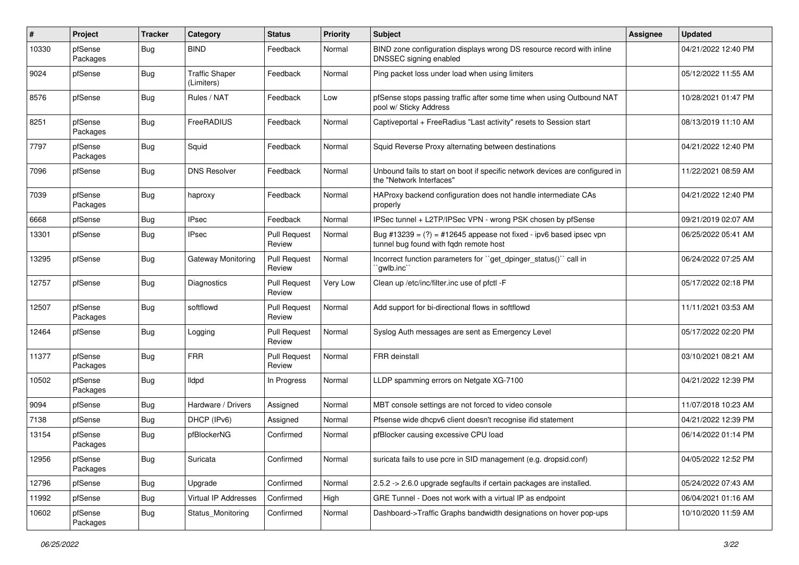| $\sharp$ | Project             | <b>Tracker</b> | Category                            | <b>Status</b>                 | <b>Priority</b> | <b>Subject</b>                                                                                                 | Assignee | <b>Updated</b>      |
|----------|---------------------|----------------|-------------------------------------|-------------------------------|-----------------|----------------------------------------------------------------------------------------------------------------|----------|---------------------|
| 10330    | pfSense<br>Packages | <b>Bug</b>     | <b>BIND</b>                         | Feedback                      | Normal          | BIND zone configuration displays wrong DS resource record with inline<br>DNSSEC signing enabled                |          | 04/21/2022 12:40 PM |
| 9024     | pfSense             | <b>Bug</b>     | <b>Traffic Shaper</b><br>(Limiters) | Feedback                      | Normal          | Ping packet loss under load when using limiters                                                                |          | 05/12/2022 11:55 AM |
| 8576     | pfSense             | <b>Bug</b>     | Rules / NAT                         | Feedback                      | Low             | pfSense stops passing traffic after some time when using Outbound NAT<br>pool w/ Sticky Address                |          | 10/28/2021 01:47 PM |
| 8251     | pfSense<br>Packages | <b>Bug</b>     | FreeRADIUS                          | Feedback                      | Normal          | Captiveportal + FreeRadius "Last activity" resets to Session start                                             |          | 08/13/2019 11:10 AM |
| 7797     | pfSense<br>Packages | <b>Bug</b>     | Squid                               | Feedback                      | Normal          | Squid Reverse Proxy alternating between destinations                                                           |          | 04/21/2022 12:40 PM |
| 7096     | pfSense             | <b>Bug</b>     | <b>DNS Resolver</b>                 | Feedback                      | Normal          | Unbound fails to start on boot if specific network devices are configured in<br>the "Network Interfaces"       |          | 11/22/2021 08:59 AM |
| 7039     | pfSense<br>Packages | <b>Bug</b>     | haproxy                             | Feedback                      | Normal          | HAProxy backend configuration does not handle intermediate CAs<br>properly                                     |          | 04/21/2022 12:40 PM |
| 6668     | pfSense             | <b>Bug</b>     | <b>IPsec</b>                        | Feedback                      | Normal          | IPSec tunnel + L2TP/IPSec VPN - wrong PSK chosen by pfSense                                                    |          | 09/21/2019 02:07 AM |
| 13301    | pfSense             | <b>Bug</b>     | <b>IPsec</b>                        | <b>Pull Request</b><br>Review | Normal          | Bug #13239 = $(?)$ = #12645 appease not fixed - ipv6 based ipsec vpn<br>tunnel bug found with fqdn remote host |          | 06/25/2022 05:41 AM |
| 13295    | pfSense             | <b>Bug</b>     | Gateway Monitoring                  | <b>Pull Request</b><br>Review | Normal          | Incorrect function parameters for "get_dpinger_status()" call in<br>`qwlb.inc``                                |          | 06/24/2022 07:25 AM |
| 12757    | pfSense             | <b>Bug</b>     | <b>Diagnostics</b>                  | <b>Pull Request</b><br>Review | Very Low        | Clean up /etc/inc/filter.inc use of pfctl -F                                                                   |          | 05/17/2022 02:18 PM |
| 12507    | pfSense<br>Packages | <b>Bug</b>     | softflowd                           | <b>Pull Request</b><br>Review | Normal          | Add support for bi-directional flows in softflowd                                                              |          | 11/11/2021 03:53 AM |
| 12464    | pfSense             | <b>Bug</b>     | Logging                             | <b>Pull Request</b><br>Review | Normal          | Syslog Auth messages are sent as Emergency Level                                                               |          | 05/17/2022 02:20 PM |
| 11377    | pfSense<br>Packages | <b>Bug</b>     | <b>FRR</b>                          | <b>Pull Request</b><br>Review | Normal          | FRR deinstall                                                                                                  |          | 03/10/2021 08:21 AM |
| 10502    | pfSense<br>Packages | <b>Bug</b>     | lldpd                               | In Progress                   | Normal          | LLDP spamming errors on Netgate XG-7100                                                                        |          | 04/21/2022 12:39 PM |
| 9094     | pfSense             | <b>Bug</b>     | Hardware / Drivers                  | Assigned                      | Normal          | MBT console settings are not forced to video console                                                           |          | 11/07/2018 10:23 AM |
| 7138     | pfSense             | <b>Bug</b>     | DHCP (IPv6)                         | Assigned                      | Normal          | Pfsense wide dhcpv6 client doesn't recognise ifid statement                                                    |          | 04/21/2022 12:39 PM |
| 13154    | pfSense<br>Packages | <b>Bug</b>     | pfBlockerNG                         | Confirmed                     | Normal          | pfBlocker causing excessive CPU load                                                                           |          | 06/14/2022 01:14 PM |
| 12956    | pfSense<br>Packages | <b>Bug</b>     | Suricata                            | Confirmed                     | Normal          | suricata fails to use pcre in SID management (e.g. dropsid.conf)                                               |          | 04/05/2022 12:52 PM |
| 12796    | pfSense             | Bug            | Upgrade                             | Confirmed                     | Normal          | 2.5.2 -> 2.6.0 upgrade segfaults if certain packages are installed.                                            |          | 05/24/2022 07:43 AM |
| 11992    | pfSense             | <b>Bug</b>     | Virtual IP Addresses                | Confirmed                     | High            | GRE Tunnel - Does not work with a virtual IP as endpoint                                                       |          | 06/04/2021 01:16 AM |
| 10602    | pfSense<br>Packages | Bug            | Status_Monitoring                   | Confirmed                     | Normal          | Dashboard->Traffic Graphs bandwidth designations on hover pop-ups                                              |          | 10/10/2020 11:59 AM |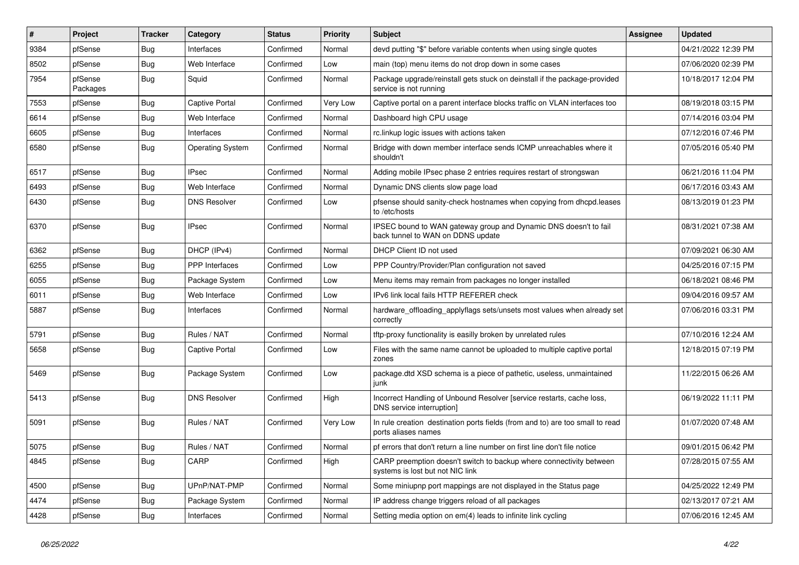| #    | Project             | <b>Tracker</b> | Category                | <b>Status</b> | <b>Priority</b> | Subject                                                                                                 | <b>Assignee</b> | <b>Updated</b>      |
|------|---------------------|----------------|-------------------------|---------------|-----------------|---------------------------------------------------------------------------------------------------------|-----------------|---------------------|
| 9384 | pfSense             | <b>Bug</b>     | Interfaces              | Confirmed     | Normal          | devd putting "\$" before variable contents when using single quotes                                     |                 | 04/21/2022 12:39 PM |
| 8502 | pfSense             | <b>Bug</b>     | Web Interface           | Confirmed     | Low             | main (top) menu items do not drop down in some cases                                                    |                 | 07/06/2020 02:39 PM |
| 7954 | pfSense<br>Packages | <b>Bug</b>     | Squid                   | Confirmed     | Normal          | Package upgrade/reinstall gets stuck on deinstall if the package-provided<br>service is not running     |                 | 10/18/2017 12:04 PM |
| 7553 | pfSense             | Bug            | <b>Captive Portal</b>   | Confirmed     | Very Low        | Captive portal on a parent interface blocks traffic on VLAN interfaces too                              |                 | 08/19/2018 03:15 PM |
| 6614 | pfSense             | <b>Bug</b>     | Web Interface           | Confirmed     | Normal          | Dashboard high CPU usage                                                                                |                 | 07/14/2016 03:04 PM |
| 6605 | pfSense             | <b>Bug</b>     | Interfaces              | Confirmed     | Normal          | rc.linkup logic issues with actions taken                                                               |                 | 07/12/2016 07:46 PM |
| 6580 | pfSense             | <b>Bug</b>     | <b>Operating System</b> | Confirmed     | Normal          | Bridge with down member interface sends ICMP unreachables where it<br>shouldn't                         |                 | 07/05/2016 05:40 PM |
| 6517 | pfSense             | <b>Bug</b>     | <b>IPsec</b>            | Confirmed     | Normal          | Adding mobile IPsec phase 2 entries requires restart of strongswan                                      |                 | 06/21/2016 11:04 PM |
| 6493 | pfSense             | <b>Bug</b>     | Web Interface           | Confirmed     | Normal          | Dynamic DNS clients slow page load                                                                      |                 | 06/17/2016 03:43 AM |
| 6430 | pfSense             | <b>Bug</b>     | <b>DNS Resolver</b>     | Confirmed     | Low             | pfsense should sanity-check hostnames when copying from dhcpd.leases<br>to /etc/hosts                   |                 | 08/13/2019 01:23 PM |
| 6370 | pfSense             | Bug            | <b>IPsec</b>            | Confirmed     | Normal          | IPSEC bound to WAN gateway group and Dynamic DNS doesn't to fail<br>back tunnel to WAN on DDNS update   |                 | 08/31/2021 07:38 AM |
| 6362 | pfSense             | <b>Bug</b>     | DHCP (IPv4)             | Confirmed     | Normal          | DHCP Client ID not used                                                                                 |                 | 07/09/2021 06:30 AM |
| 6255 | pfSense             | Bug            | PPP Interfaces          | Confirmed     | Low             | PPP Country/Provider/Plan configuration not saved                                                       |                 | 04/25/2016 07:15 PM |
| 6055 | pfSense             | <b>Bug</b>     | Package System          | Confirmed     | Low             | Menu items may remain from packages no longer installed                                                 |                 | 06/18/2021 08:46 PM |
| 6011 | pfSense             | <b>Bug</b>     | Web Interface           | Confirmed     | Low             | IPv6 link local fails HTTP REFERER check                                                                |                 | 09/04/2016 09:57 AM |
| 5887 | pfSense             | <b>Bug</b>     | Interfaces              | Confirmed     | Normal          | hardware_offloading_applyflags sets/unsets most values when already set<br>correctly                    |                 | 07/06/2016 03:31 PM |
| 5791 | pfSense             | Bug            | Rules / NAT             | Confirmed     | Normal          | tftp-proxy functionality is easilly broken by unrelated rules                                           |                 | 07/10/2016 12:24 AM |
| 5658 | pfSense             | <b>Bug</b>     | <b>Captive Portal</b>   | Confirmed     | Low             | Files with the same name cannot be uploaded to multiple captive portal<br>zones                         |                 | 12/18/2015 07:19 PM |
| 5469 | pfSense             | <b>Bug</b>     | Package System          | Confirmed     | Low             | package.dtd XSD schema is a piece of pathetic, useless, unmaintained<br>junk                            |                 | 11/22/2015 06:26 AM |
| 5413 | pfSense             | <b>Bug</b>     | <b>DNS Resolver</b>     | Confirmed     | High            | Incorrect Handling of Unbound Resolver [service restarts, cache loss,<br>DNS service interruption]      |                 | 06/19/2022 11:11 PM |
| 5091 | pfSense             | Bug            | Rules / NAT             | Confirmed     | Very Low        | In rule creation destination ports fields (from and to) are too small to read<br>ports aliases names    |                 | 01/07/2020 07:48 AM |
| 5075 | pfSense             | <b>Bug</b>     | Rules / NAT             | Confirmed     | Normal          | pf errors that don't return a line number on first line don't file notice                               |                 | 09/01/2015 06:42 PM |
| 4845 | pfSense             | <b>Bug</b>     | CARP                    | Confirmed     | High            | CARP preemption doesn't switch to backup where connectivity between<br>systems is lost but not NIC link |                 | 07/28/2015 07:55 AM |
| 4500 | pfSense             | <b>Bug</b>     | UPnP/NAT-PMP            | Confirmed     | Normal          | Some miniupnp port mappings are not displayed in the Status page                                        |                 | 04/25/2022 12:49 PM |
| 4474 | pfSense             | <b>Bug</b>     | Package System          | Confirmed     | Normal          | IP address change triggers reload of all packages                                                       |                 | 02/13/2017 07:21 AM |
| 4428 | pfSense             | Bug            | Interfaces              | Confirmed     | Normal          | Setting media option on em(4) leads to infinite link cycling                                            |                 | 07/06/2016 12:45 AM |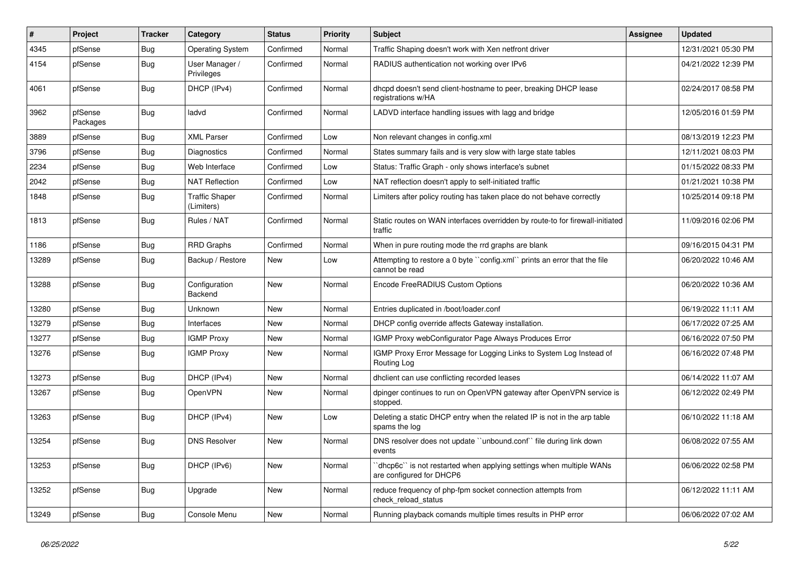| #     | <b>Project</b>      | <b>Tracker</b> | Category                            | <b>Status</b> | <b>Priority</b> | <b>Subject</b>                                                                                 | <b>Assignee</b> | <b>Updated</b>      |
|-------|---------------------|----------------|-------------------------------------|---------------|-----------------|------------------------------------------------------------------------------------------------|-----------------|---------------------|
| 4345  | pfSense             | <b>Bug</b>     | <b>Operating System</b>             | Confirmed     | Normal          | Traffic Shaping doesn't work with Xen netfront driver                                          |                 | 12/31/2021 05:30 PM |
| 4154  | pfSense             | Bug            | User Manager /<br>Privileges        | Confirmed     | Normal          | RADIUS authentication not working over IPv6                                                    |                 | 04/21/2022 12:39 PM |
| 4061  | pfSense             | <b>Bug</b>     | DHCP (IPv4)                         | Confirmed     | Normal          | dhcpd doesn't send client-hostname to peer, breaking DHCP lease<br>registrations w/HA          |                 | 02/24/2017 08:58 PM |
| 3962  | pfSense<br>Packages | Bug            | ladvd                               | Confirmed     | Normal          | LADVD interface handling issues with lagg and bridge                                           |                 | 12/05/2016 01:59 PM |
| 3889  | pfSense             | <b>Bug</b>     | <b>XML Parser</b>                   | Confirmed     | Low             | Non relevant changes in config.xml                                                             |                 | 08/13/2019 12:23 PM |
| 3796  | pfSense             | Bug            | Diagnostics                         | Confirmed     | Normal          | States summary fails and is very slow with large state tables                                  |                 | 12/11/2021 08:03 PM |
| 2234  | pfSense             | Bug            | Web Interface                       | Confirmed     | Low             | Status: Traffic Graph - only shows interface's subnet                                          |                 | 01/15/2022 08:33 PM |
| 2042  | pfSense             | <b>Bug</b>     | <b>NAT Reflection</b>               | Confirmed     | Low             | NAT reflection doesn't apply to self-initiated traffic                                         |                 | 01/21/2021 10:38 PM |
| 1848  | pfSense             | <b>Bug</b>     | <b>Traffic Shaper</b><br>(Limiters) | Confirmed     | Normal          | Limiters after policy routing has taken place do not behave correctly                          |                 | 10/25/2014 09:18 PM |
| 1813  | pfSense             | <b>Bug</b>     | Rules / NAT                         | Confirmed     | Normal          | Static routes on WAN interfaces overridden by route-to for firewall-initiated<br>traffic       |                 | 11/09/2016 02:06 PM |
| 1186  | pfSense             | <b>Bug</b>     | <b>RRD Graphs</b>                   | Confirmed     | Normal          | When in pure routing mode the rrd graphs are blank                                             |                 | 09/16/2015 04:31 PM |
| 13289 | pfSense             | <b>Bug</b>     | Backup / Restore                    | <b>New</b>    | Low             | Attempting to restore a 0 byte "config.xml" prints an error that the file<br>cannot be read    |                 | 06/20/2022 10:46 AM |
| 13288 | pfSense             | <b>Bug</b>     | Configuration<br>Backend            | <b>New</b>    | Normal          | Encode FreeRADIUS Custom Options                                                               |                 | 06/20/2022 10:36 AM |
| 13280 | pfSense             | <b>Bug</b>     | Unknown                             | <b>New</b>    | Normal          | Entries duplicated in /boot/loader.conf                                                        |                 | 06/19/2022 11:11 AM |
| 13279 | pfSense             | <b>Bug</b>     | Interfaces                          | <b>New</b>    | Normal          | DHCP config override affects Gateway installation.                                             |                 | 06/17/2022 07:25 AM |
| 13277 | pfSense             | <b>Bug</b>     | <b>IGMP Proxy</b>                   | New           | Normal          | IGMP Proxy webConfigurator Page Always Produces Error                                          |                 | 06/16/2022 07:50 PM |
| 13276 | pfSense             | <b>Bug</b>     | <b>IGMP Proxy</b>                   | <b>New</b>    | Normal          | IGMP Proxy Error Message for Logging Links to System Log Instead of<br>Routing Log             |                 | 06/16/2022 07:48 PM |
| 13273 | pfSense             | <b>Bug</b>     | DHCP (IPv4)                         | <b>New</b>    | Normal          | dhclient can use conflicting recorded leases                                                   |                 | 06/14/2022 11:07 AM |
| 13267 | pfSense             | Bug            | OpenVPN                             | <b>New</b>    | Normal          | dpinger continues to run on OpenVPN gateway after OpenVPN service is<br>stopped.               |                 | 06/12/2022 02:49 PM |
| 13263 | pfSense             | <b>Bug</b>     | DHCP (IPv4)                         | <b>New</b>    | Low             | Deleting a static DHCP entry when the related IP is not in the arp table<br>spams the log      |                 | 06/10/2022 11:18 AM |
| 13254 | pfSense             | <b>Bug</b>     | <b>DNS Resolver</b>                 | <b>New</b>    | Normal          | DNS resolver does not update "unbound.conf" file during link down<br>events                    |                 | 06/08/2022 07:55 AM |
| 13253 | pfSense             | Bug            | DHCP (IPv6)                         | <b>New</b>    | Normal          | dhcp6c" is not restarted when applying settings when multiple WANs<br>are configured for DHCP6 |                 | 06/06/2022 02:58 PM |
| 13252 | pfSense             | <b>Bug</b>     | Upgrade                             | <b>New</b>    | Normal          | reduce frequency of php-fpm socket connection attempts from<br>check_reload_status             |                 | 06/12/2022 11:11 AM |
| 13249 | pfSense             | Bug            | Console Menu                        | New           | Normal          | Running playback comands multiple times results in PHP error                                   |                 | 06/06/2022 07:02 AM |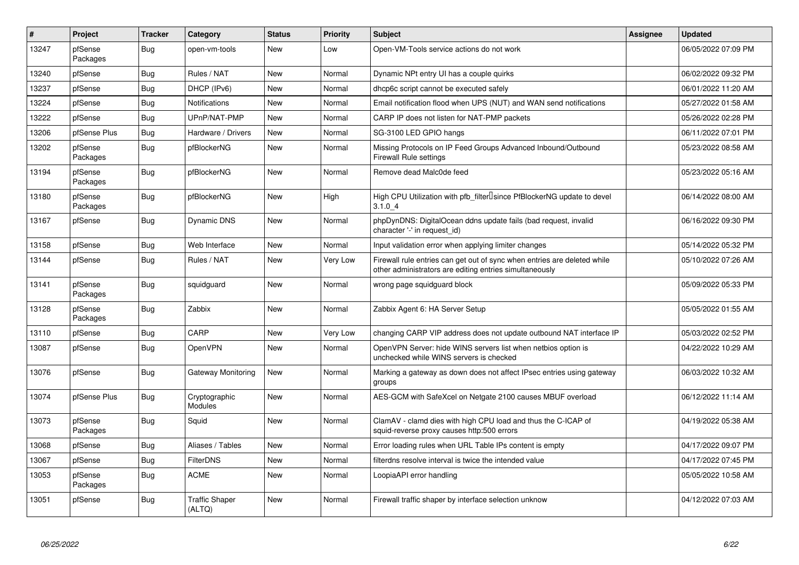| $\vert$ # | Project             | <b>Tracker</b> | Category                        | <b>Status</b> | <b>Priority</b> | <b>Subject</b>                                                                                                                      | <b>Assignee</b> | <b>Updated</b>      |
|-----------|---------------------|----------------|---------------------------------|---------------|-----------------|-------------------------------------------------------------------------------------------------------------------------------------|-----------------|---------------------|
| 13247     | pfSense<br>Packages | <b>Bug</b>     | open-vm-tools                   | <b>New</b>    | Low             | Open-VM-Tools service actions do not work                                                                                           |                 | 06/05/2022 07:09 PM |
| 13240     | pfSense             | <b>Bug</b>     | Rules / NAT                     | New           | Normal          | Dynamic NPt entry UI has a couple quirks                                                                                            |                 | 06/02/2022 09:32 PM |
| 13237     | pfSense             | Bug            | DHCP (IPv6)                     | <b>New</b>    | Normal          | dhcp6c script cannot be executed safely                                                                                             |                 | 06/01/2022 11:20 AM |
| 13224     | pfSense             | <b>Bug</b>     | <b>Notifications</b>            | <b>New</b>    | Normal          | Email notification flood when UPS (NUT) and WAN send notifications                                                                  |                 | 05/27/2022 01:58 AM |
| 13222     | pfSense             | <b>Bug</b>     | UPnP/NAT-PMP                    | <b>New</b>    | Normal          | CARP IP does not listen for NAT-PMP packets                                                                                         |                 | 05/26/2022 02:28 PM |
| 13206     | pfSense Plus        | <b>Bug</b>     | Hardware / Drivers              | <b>New</b>    | Normal          | SG-3100 LED GPIO hangs                                                                                                              |                 | 06/11/2022 07:01 PM |
| 13202     | pfSense<br>Packages | Bug            | pfBlockerNG                     | <b>New</b>    | Normal          | Missing Protocols on IP Feed Groups Advanced Inbound/Outbound<br><b>Firewall Rule settings</b>                                      |                 | 05/23/2022 08:58 AM |
| 13194     | pfSense<br>Packages | <b>Bug</b>     | pfBlockerNG                     | <b>New</b>    | Normal          | Remove dead Malc0de feed                                                                                                            |                 | 05/23/2022 05:16 AM |
| 13180     | pfSense<br>Packages | <b>Bug</b>     | pfBlockerNG                     | New           | High            | High CPU Utilization with pfb_filterlsince PfBlockerNG update to devel<br>3.1.04                                                    |                 | 06/14/2022 08:00 AM |
| 13167     | pfSense             | Bug            | <b>Dynamic DNS</b>              | New           | Normal          | phpDynDNS: DigitalOcean ddns update fails (bad request, invalid<br>character '-' in request id)                                     |                 | 06/16/2022 09:30 PM |
| 13158     | pfSense             | Bug            | Web Interface                   | New           | Normal          | Input validation error when applying limiter changes                                                                                |                 | 05/14/2022 05:32 PM |
| 13144     | pfSense             | <b>Bug</b>     | Rules / NAT                     | <b>New</b>    | Very Low        | Firewall rule entries can get out of sync when entries are deleted while<br>other administrators are editing entries simultaneously |                 | 05/10/2022 07:26 AM |
| 13141     | pfSense<br>Packages | <b>Bug</b>     | squidguard                      | New           | Normal          | wrong page squidguard block                                                                                                         |                 | 05/09/2022 05:33 PM |
| 13128     | pfSense<br>Packages | <b>Bug</b>     | Zabbix                          | <b>New</b>    | Normal          | Zabbix Agent 6: HA Server Setup                                                                                                     |                 | 05/05/2022 01:55 AM |
| 13110     | pfSense             | <b>Bug</b>     | CARP                            | <b>New</b>    | Very Low        | changing CARP VIP address does not update outbound NAT interface IP                                                                 |                 | 05/03/2022 02:52 PM |
| 13087     | pfSense             | Bug            | OpenVPN                         | <b>New</b>    | Normal          | OpenVPN Server: hide WINS servers list when netbios option is<br>unchecked while WINS servers is checked                            |                 | 04/22/2022 10:29 AM |
| 13076     | pfSense             | Bug            | Gateway Monitoring              | <b>New</b>    | Normal          | Marking a gateway as down does not affect IPsec entries using gateway<br>groups                                                     |                 | 06/03/2022 10:32 AM |
| 13074     | pfSense Plus        | Bug            | Cryptographic<br>Modules        | <b>New</b>    | Normal          | AES-GCM with SafeXcel on Netgate 2100 causes MBUF overload                                                                          |                 | 06/12/2022 11:14 AM |
| 13073     | pfSense<br>Packages | <b>Bug</b>     | Squid                           | <b>New</b>    | Normal          | ClamAV - clamd dies with high CPU load and thus the C-ICAP of<br>squid-reverse proxy causes http:500 errors                         |                 | 04/19/2022 05:38 AM |
| 13068     | pfSense             | Bug            | Aliases / Tables                | <b>New</b>    | Normal          | Error loading rules when URL Table IPs content is empty                                                                             |                 | 04/17/2022 09:07 PM |
| 13067     | pfSense             | Bug            | <b>FilterDNS</b>                | New           | Normal          | filterdns resolve interval is twice the intended value                                                                              |                 | 04/17/2022 07:45 PM |
| 13053     | pfSense<br>Packages | <b>Bug</b>     | <b>ACME</b>                     | <b>New</b>    | Normal          | LoopiaAPI error handling                                                                                                            |                 | 05/05/2022 10:58 AM |
| 13051     | pfSense             | Bug            | <b>Traffic Shaper</b><br>(ALTQ) | <b>New</b>    | Normal          | Firewall traffic shaper by interface selection unknow                                                                               |                 | 04/12/2022 07:03 AM |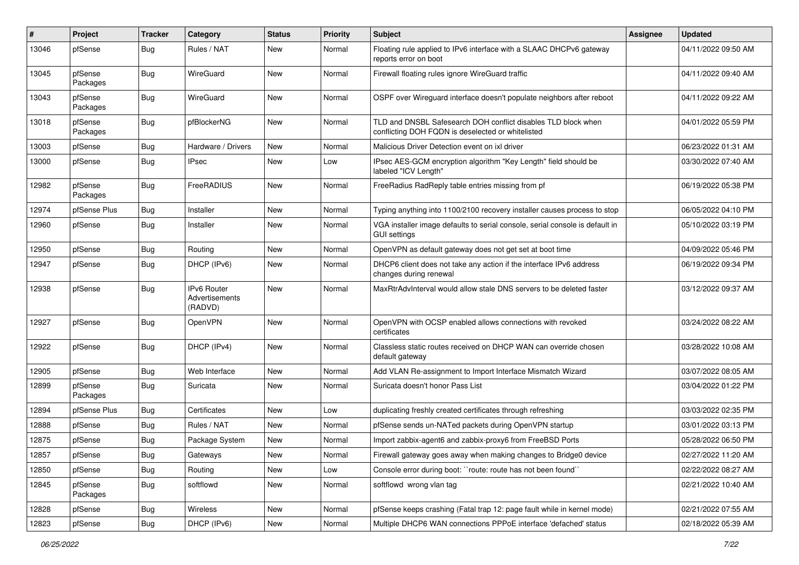| #     | Project             | <b>Tracker</b> | Category                                        | <b>Status</b> | <b>Priority</b> | <b>Subject</b>                                                                                                     | <b>Assignee</b> | <b>Updated</b>      |
|-------|---------------------|----------------|-------------------------------------------------|---------------|-----------------|--------------------------------------------------------------------------------------------------------------------|-----------------|---------------------|
| 13046 | pfSense             | <b>Bug</b>     | Rules / NAT                                     | <b>New</b>    | Normal          | Floating rule applied to IPv6 interface with a SLAAC DHCPv6 gateway<br>reports error on boot                       |                 | 04/11/2022 09:50 AM |
| 13045 | pfSense<br>Packages | Bug            | WireGuard                                       | <b>New</b>    | Normal          | Firewall floating rules ignore WireGuard traffic                                                                   |                 | 04/11/2022 09:40 AM |
| 13043 | pfSense<br>Packages | <b>Bug</b>     | WireGuard                                       | New           | Normal          | OSPF over Wireguard interface doesn't populate neighbors after reboot                                              |                 | 04/11/2022 09:22 AM |
| 13018 | pfSense<br>Packages | <b>Bug</b>     | pfBlockerNG                                     | <b>New</b>    | Normal          | TLD and DNSBL Safesearch DOH conflict disables TLD block when<br>conflicting DOH FQDN is deselected or whitelisted |                 | 04/01/2022 05:59 PM |
| 13003 | pfSense             | <b>Bug</b>     | Hardware / Drivers                              | <b>New</b>    | Normal          | Malicious Driver Detection event on ixl driver                                                                     |                 | 06/23/2022 01:31 AM |
| 13000 | pfSense             | <b>Bug</b>     | IPsec                                           | <b>New</b>    | Low             | IPsec AES-GCM encryption algorithm "Key Length" field should be<br>labeled "ICV Length"                            |                 | 03/30/2022 07:40 AM |
| 12982 | pfSense<br>Packages | <b>Bug</b>     | FreeRADIUS                                      | <b>New</b>    | Normal          | FreeRadius RadReply table entries missing from pf                                                                  |                 | 06/19/2022 05:38 PM |
| 12974 | pfSense Plus        | Bug            | Installer                                       | <b>New</b>    | Normal          | Typing anything into 1100/2100 recovery installer causes process to stop                                           |                 | 06/05/2022 04:10 PM |
| 12960 | pfSense             | <b>Bug</b>     | Installer                                       | New           | Normal          | VGA installer image defaults to serial console, serial console is default in<br><b>GUI settings</b>                |                 | 05/10/2022 03:19 PM |
| 12950 | pfSense             | <b>Bug</b>     | Routing                                         | New           | Normal          | OpenVPN as default gateway does not get set at boot time                                                           |                 | 04/09/2022 05:46 PM |
| 12947 | pfSense             | Bug            | DHCP (IPv6)                                     | New           | Normal          | DHCP6 client does not take any action if the interface IPv6 address<br>changes during renewal                      |                 | 06/19/2022 09:34 PM |
| 12938 | pfSense             | Bug            | <b>IPv6 Router</b><br>Advertisements<br>(RADVD) | <b>New</b>    | Normal          | MaxRtrAdvInterval would allow stale DNS servers to be deleted faster                                               |                 | 03/12/2022 09:37 AM |
| 12927 | pfSense             | <b>Bug</b>     | OpenVPN                                         | <b>New</b>    | Normal          | OpenVPN with OCSP enabled allows connections with revoked<br>certificates                                          |                 | 03/24/2022 08:22 AM |
| 12922 | pfSense             | Bug            | DHCP (IPv4)                                     | New           | Normal          | Classless static routes received on DHCP WAN can override chosen<br>default gateway                                |                 | 03/28/2022 10:08 AM |
| 12905 | pfSense             | <b>Bug</b>     | Web Interface                                   | <b>New</b>    | Normal          | Add VLAN Re-assignment to Import Interface Mismatch Wizard                                                         |                 | 03/07/2022 08:05 AM |
| 12899 | pfSense<br>Packages | <b>Bug</b>     | Suricata                                        | New           | Normal          | Suricata doesn't honor Pass List                                                                                   |                 | 03/04/2022 01:22 PM |
| 12894 | pfSense Plus        | <b>Bug</b>     | Certificates                                    | New           | Low             | duplicating freshly created certificates through refreshing                                                        |                 | 03/03/2022 02:35 PM |
| 12888 | pfSense             | <b>Bug</b>     | Rules / NAT                                     | <b>New</b>    | Normal          | pfSense sends un-NATed packets during OpenVPN startup                                                              |                 | 03/01/2022 03:13 PM |
| 12875 | pfSense             | Bug            | Package System                                  | New           | Normal          | Import zabbix-agent6 and zabbix-proxy6 from FreeBSD Ports                                                          |                 | 05/28/2022 06:50 PM |
| 12857 | pfSense             | <b>Bug</b>     | Gateways                                        | New           | Normal          | Firewall gateway goes away when making changes to Bridge0 device                                                   |                 | 02/27/2022 11:20 AM |
| 12850 | pfSense             | <b>Bug</b>     | Routing                                         | <b>New</b>    | Low             | Console error during boot: "route: route has not been found"                                                       |                 | 02/22/2022 08:27 AM |
| 12845 | pfSense<br>Packages | <b>Bug</b>     | softflowd                                       | New           | Normal          | softflowd wrong vlan tag                                                                                           |                 | 02/21/2022 10:40 AM |
| 12828 | pfSense             | Bug            | Wireless                                        | New           | Normal          | pfSense keeps crashing (Fatal trap 12: page fault while in kernel mode)                                            |                 | 02/21/2022 07:55 AM |
| 12823 | pfSense             | Bug            | DHCP (IPv6)                                     | New           | Normal          | Multiple DHCP6 WAN connections PPPoE interface 'defached' status                                                   |                 | 02/18/2022 05:39 AM |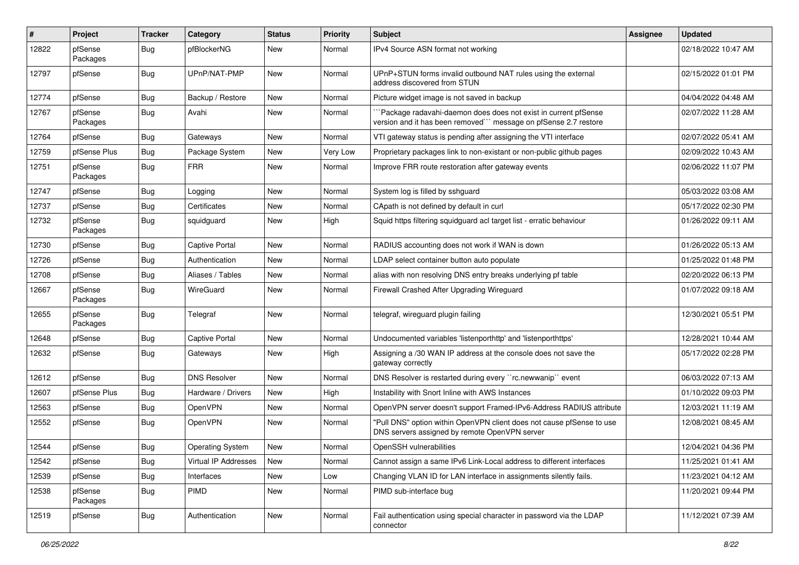| #     | Project             | <b>Tracker</b> | Category                | <b>Status</b> | <b>Priority</b> | <b>Subject</b>                                                                                                                      | <b>Assignee</b> | <b>Updated</b>      |
|-------|---------------------|----------------|-------------------------|---------------|-----------------|-------------------------------------------------------------------------------------------------------------------------------------|-----------------|---------------------|
| 12822 | pfSense<br>Packages | <b>Bug</b>     | pfBlockerNG             | New           | Normal          | IPv4 Source ASN format not working                                                                                                  |                 | 02/18/2022 10:47 AM |
| 12797 | pfSense             | Bug            | UPnP/NAT-PMP            | <b>New</b>    | Normal          | UPnP+STUN forms invalid outbound NAT rules using the external<br>address discovered from STUN                                       |                 | 02/15/2022 01:01 PM |
| 12774 | pfSense             | <b>Bug</b>     | Backup / Restore        | New           | Normal          | Picture widget image is not saved in backup                                                                                         |                 | 04/04/2022 04:48 AM |
| 12767 | pfSense<br>Packages | <b>Bug</b>     | Avahi                   | New           | Normal          | Package radavahi-daemon does does not exist in current pfSense<br>version and it has been removed``` message on pfSense 2.7 restore |                 | 02/07/2022 11:28 AM |
| 12764 | pfSense             | <b>Bug</b>     | Gateways                | <b>New</b>    | Normal          | VTI gateway status is pending after assigning the VTI interface                                                                     |                 | 02/07/2022 05:41 AM |
| 12759 | pfSense Plus        | <b>Bug</b>     | Package System          | New           | Very Low        | Proprietary packages link to non-existant or non-public github pages                                                                |                 | 02/09/2022 10:43 AM |
| 12751 | pfSense<br>Packages | <b>Bug</b>     | <b>FRR</b>              | <b>New</b>    | Normal          | Improve FRR route restoration after gateway events                                                                                  |                 | 02/06/2022 11:07 PM |
| 12747 | pfSense             | <b>Bug</b>     | Logging                 | <b>New</b>    | Normal          | System log is filled by sshguard                                                                                                    |                 | 05/03/2022 03:08 AM |
| 12737 | pfSense             | <b>Bug</b>     | Certificates            | <b>New</b>    | Normal          | CApath is not defined by default in curl                                                                                            |                 | 05/17/2022 02:30 PM |
| 12732 | pfSense<br>Packages | <b>Bug</b>     | squidguard              | New           | High            | Squid https filtering squidguard acl target list - erratic behaviour                                                                |                 | 01/26/2022 09:11 AM |
| 12730 | pfSense             | <b>Bug</b>     | <b>Captive Portal</b>   | <b>New</b>    | Normal          | RADIUS accounting does not work if WAN is down                                                                                      |                 | 01/26/2022 05:13 AM |
| 12726 | pfSense             | <b>Bug</b>     | Authentication          | New           | Normal          | LDAP select container button auto populate                                                                                          |                 | 01/25/2022 01:48 PM |
| 12708 | pfSense             | <b>Bug</b>     | Aliases / Tables        | <b>New</b>    | Normal          | alias with non resolving DNS entry breaks underlying pf table                                                                       |                 | 02/20/2022 06:13 PM |
| 12667 | pfSense<br>Packages | Bug            | WireGuard               | New           | Normal          | Firewall Crashed After Upgrading Wireguard                                                                                          |                 | 01/07/2022 09:18 AM |
| 12655 | pfSense<br>Packages | <b>Bug</b>     | Telegraf                | New           | Normal          | telegraf, wireguard plugin failing                                                                                                  |                 | 12/30/2021 05:51 PM |
| 12648 | pfSense             | <b>Bug</b>     | <b>Captive Portal</b>   | New           | Normal          | Undocumented variables 'listenporthttp' and 'listenporthttps'                                                                       |                 | 12/28/2021 10:44 AM |
| 12632 | pfSense             | Bug            | Gateways                | New           | High            | Assigning a /30 WAN IP address at the console does not save the<br>gateway correctly                                                |                 | 05/17/2022 02:28 PM |
| 12612 | pfSense             | Bug            | <b>DNS Resolver</b>     | <b>New</b>    | Normal          | DNS Resolver is restarted during every "rc.newwanip" event                                                                          |                 | 06/03/2022 07:13 AM |
| 12607 | pfSense Plus        | <b>Bug</b>     | Hardware / Drivers      | <b>New</b>    | High            | Instability with Snort Inline with AWS Instances                                                                                    |                 | 01/10/2022 09:03 PM |
| 12563 | pfSense             | <b>Bug</b>     | OpenVPN                 | New           | Normal          | OpenVPN server doesn't support Framed-IPv6-Address RADIUS attribute                                                                 |                 | 12/03/2021 11:19 AM |
| 12552 | pfSense             | <b>Bug</b>     | OpenVPN                 | New           | Normal          | "Pull DNS" option within OpenVPN client does not cause pfSense to use<br>DNS servers assigned by remote OpenVPN server              |                 | 12/08/2021 08:45 AM |
| 12544 | pfSense             | <b>Bug</b>     | <b>Operating System</b> | <b>New</b>    | Normal          | OpenSSH vulnerabilities                                                                                                             |                 | 12/04/2021 04:36 PM |
| 12542 | pfSense             | Bug            | Virtual IP Addresses    | <b>New</b>    | Normal          | Cannot assign a same IPv6 Link-Local address to different interfaces                                                                |                 | 11/25/2021 01:41 AM |
| 12539 | pfSense             | Bug            | Interfaces              | New           | Low             | Changing VLAN ID for LAN interface in assignments silently fails.                                                                   |                 | 11/23/2021 04:12 AM |
| 12538 | pfSense<br>Packages | <b>Bug</b>     | PIMD                    | New           | Normal          | PIMD sub-interface bug                                                                                                              |                 | 11/20/2021 09:44 PM |
| 12519 | pfSense             | <b>Bug</b>     | Authentication          | New           | Normal          | Fail authentication using special character in password via the LDAP<br>connector                                                   |                 | 11/12/2021 07:39 AM |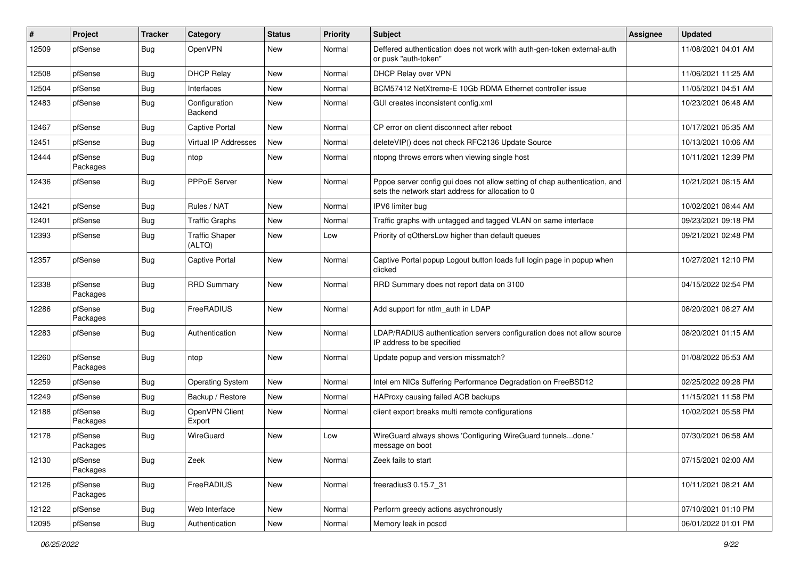| #     | Project             | <b>Tracker</b> | Category                        | <b>Status</b> | <b>Priority</b> | <b>Subject</b>                                                                                                                   | <b>Assignee</b> | <b>Updated</b>      |
|-------|---------------------|----------------|---------------------------------|---------------|-----------------|----------------------------------------------------------------------------------------------------------------------------------|-----------------|---------------------|
| 12509 | pfSense             | <b>Bug</b>     | OpenVPN                         | New           | Normal          | Deffered authentication does not work with auth-gen-token external-auth<br>or pusk "auth-token"                                  |                 | 11/08/2021 04:01 AM |
| 12508 | pfSense             | <b>Bug</b>     | <b>DHCP Relay</b>               | <b>New</b>    | Normal          | DHCP Relay over VPN                                                                                                              |                 | 11/06/2021 11:25 AM |
| 12504 | pfSense             | Bug            | Interfaces                      | New           | Normal          | BCM57412 NetXtreme-E 10Gb RDMA Ethernet controller issue                                                                         |                 | 11/05/2021 04:51 AM |
| 12483 | pfSense             | <b>Bug</b>     | Configuration<br>Backend        | <b>New</b>    | Normal          | GUI creates inconsistent config.xml                                                                                              |                 | 10/23/2021 06:48 AM |
| 12467 | pfSense             | <b>Bug</b>     | <b>Captive Portal</b>           | New           | Normal          | CP error on client disconnect after reboot                                                                                       |                 | 10/17/2021 05:35 AM |
| 12451 | pfSense             | Bug            | Virtual IP Addresses            | New           | Normal          | deleteVIP() does not check RFC2136 Update Source                                                                                 |                 | 10/13/2021 10:06 AM |
| 12444 | pfSense<br>Packages | Bug            | ntop                            | <b>New</b>    | Normal          | ntopng throws errors when viewing single host                                                                                    |                 | 10/11/2021 12:39 PM |
| 12436 | pfSense             | Bug            | PPPoE Server                    | <b>New</b>    | Normal          | Pppoe server config gui does not allow setting of chap authentication, and<br>sets the network start address for allocation to 0 |                 | 10/21/2021 08:15 AM |
| 12421 | pfSense             | <b>Bug</b>     | Rules / NAT                     | <b>New</b>    | Normal          | IPV6 limiter bug                                                                                                                 |                 | 10/02/2021 08:44 AM |
| 12401 | pfSense             | <b>Bug</b>     | <b>Traffic Graphs</b>           | New           | Normal          | Traffic graphs with untagged and tagged VLAN on same interface                                                                   |                 | 09/23/2021 09:18 PM |
| 12393 | pfSense             | Bug            | <b>Traffic Shaper</b><br>(ALTQ) | New           | Low             | Priority of qOthersLow higher than default queues                                                                                |                 | 09/21/2021 02:48 PM |
| 12357 | pfSense             | <b>Bug</b>     | <b>Captive Portal</b>           | New           | Normal          | Captive Portal popup Logout button loads full login page in popup when<br>clicked                                                |                 | 10/27/2021 12:10 PM |
| 12338 | pfSense<br>Packages | Bug            | <b>RRD Summary</b>              | <b>New</b>    | Normal          | RRD Summary does not report data on 3100                                                                                         |                 | 04/15/2022 02:54 PM |
| 12286 | pfSense<br>Packages | <b>Bug</b>     | FreeRADIUS                      | New           | Normal          | Add support for ntlm auth in LDAP                                                                                                |                 | 08/20/2021 08:27 AM |
| 12283 | pfSense             | <b>Bug</b>     | Authentication                  | New           | Normal          | LDAP/RADIUS authentication servers configuration does not allow source<br>IP address to be specified                             |                 | 08/20/2021 01:15 AM |
| 12260 | pfSense<br>Packages | Bug            | ntop                            | New           | Normal          | Update popup and version missmatch?                                                                                              |                 | 01/08/2022 05:53 AM |
| 12259 | pfSense             | <b>Bug</b>     | <b>Operating System</b>         | New           | Normal          | Intel em NICs Suffering Performance Degradation on FreeBSD12                                                                     |                 | 02/25/2022 09:28 PM |
| 12249 | pfSense             | <b>Bug</b>     | Backup / Restore                | New           | Normal          | HAProxy causing failed ACB backups                                                                                               |                 | 11/15/2021 11:58 PM |
| 12188 | pfSense<br>Packages | <b>Bug</b>     | OpenVPN Client<br>Export        | New           | Normal          | client export breaks multi remote configurations                                                                                 |                 | 10/02/2021 05:58 PM |
| 12178 | pfSense<br>Packages | <b>Bug</b>     | WireGuard                       | <b>New</b>    | Low             | WireGuard always shows 'Configuring WireGuard tunnelsdone.'<br>message on boot                                                   |                 | 07/30/2021 06:58 AM |
| 12130 | pfSense<br>Packages | <b>Bug</b>     | Zeek                            | New           | Normal          | Zeek fails to start                                                                                                              |                 | 07/15/2021 02:00 AM |
| 12126 | pfSense<br>Packages | <b>Bug</b>     | FreeRADIUS                      | New           | Normal          | freeradius3 0.15.7 31                                                                                                            |                 | 10/11/2021 08:21 AM |
| 12122 | pfSense             | <b>Bug</b>     | Web Interface                   | New           | Normal          | Perform greedy actions asychronously                                                                                             |                 | 07/10/2021 01:10 PM |
| 12095 | pfSense             | <b>Bug</b>     | Authentication                  | New           | Normal          | Memory leak in pcscd                                                                                                             |                 | 06/01/2022 01:01 PM |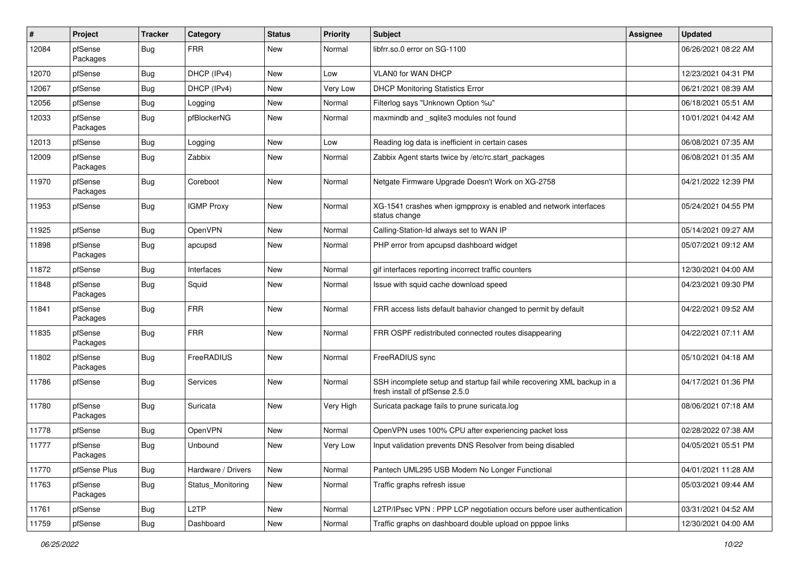| $\sharp$ | Project             | <b>Tracker</b> | Category           | <b>Status</b> | <b>Priority</b> | <b>Subject</b>                                                                                           | <b>Assignee</b> | <b>Updated</b>      |
|----------|---------------------|----------------|--------------------|---------------|-----------------|----------------------------------------------------------------------------------------------------------|-----------------|---------------------|
| 12084    | pfSense<br>Packages | <b>Bug</b>     | <b>FRR</b>         | New           | Normal          | libfrr.so.0 error on SG-1100                                                                             |                 | 06/26/2021 08:22 AM |
| 12070    | pfSense             | <b>Bug</b>     | DHCP (IPv4)        | <b>New</b>    | Low             | VLAN0 for WAN DHCP                                                                                       |                 | 12/23/2021 04:31 PM |
| 12067    | pfSense             | <b>Bug</b>     | DHCP (IPv4)        | New           | Very Low        | <b>DHCP Monitoring Statistics Error</b>                                                                  |                 | 06/21/2021 08:39 AM |
| 12056    | pfSense             | <b>Bug</b>     | Logging            | New           | Normal          | Filterlog says "Unknown Option %u"                                                                       |                 | 06/18/2021 05:51 AM |
| 12033    | pfSense<br>Packages | <b>Bug</b>     | pfBlockerNG        | New           | Normal          | maxmindb and _sqlite3 modules not found                                                                  |                 | 10/01/2021 04:42 AM |
| 12013    | pfSense             | Bug            | Logging            | New           | Low             | Reading log data is inefficient in certain cases                                                         |                 | 06/08/2021 07:35 AM |
| 12009    | pfSense<br>Packages | <b>Bug</b>     | Zabbix             | New           | Normal          | Zabbix Agent starts twice by /etc/rc.start_packages                                                      |                 | 06/08/2021 01:35 AM |
| 11970    | pfSense<br>Packages | Bug            | Coreboot           | New           | Normal          | Netgate Firmware Upgrade Doesn't Work on XG-2758                                                         |                 | 04/21/2022 12:39 PM |
| 11953    | pfSense             | <b>Bug</b>     | <b>IGMP Proxy</b>  | New           | Normal          | XG-1541 crashes when igmpproxy is enabled and network interfaces<br>status change                        |                 | 05/24/2021 04:55 PM |
| 11925    | pfSense             | Bug            | OpenVPN            | <b>New</b>    | Normal          | Calling-Station-Id always set to WAN IP                                                                  |                 | 05/14/2021 09:27 AM |
| 11898    | pfSense<br>Packages | Bug            | apcupsd            | New           | Normal          | PHP error from apcupsd dashboard widget                                                                  |                 | 05/07/2021 09:12 AM |
| 11872    | pfSense             | Bug            | Interfaces         | <b>New</b>    | Normal          | gif interfaces reporting incorrect traffic counters                                                      |                 | 12/30/2021 04:00 AM |
| 11848    | pfSense<br>Packages | Bug            | Squid              | New           | Normal          | Issue with squid cache download speed                                                                    |                 | 04/23/2021 09:30 PM |
| 11841    | pfSense<br>Packages | <b>Bug</b>     | FRR                | New           | Normal          | FRR access lists default bahavior changed to permit by default                                           |                 | 04/22/2021 09:52 AM |
| 11835    | pfSense<br>Packages | Bug            | <b>FRR</b>         | New           | Normal          | FRR OSPF redistributed connected routes disappearing                                                     |                 | 04/22/2021 07:11 AM |
| 11802    | pfSense<br>Packages | Bug            | FreeRADIUS         | New           | Normal          | FreeRADIUS sync                                                                                          |                 | 05/10/2021 04:18 AM |
| 11786    | pfSense             | Bug            | Services           | New           | Normal          | SSH incomplete setup and startup fail while recovering XML backup in a<br>fresh install of pfSense 2.5.0 |                 | 04/17/2021 01:36 PM |
| 11780    | pfSense<br>Packages | <b>Bug</b>     | Suricata           | New           | Very High       | Suricata package fails to prune suricata.log                                                             |                 | 08/06/2021 07:18 AM |
| 11778    | pfSense             | <b>Bug</b>     | OpenVPN            | New           | Normal          | OpenVPN uses 100% CPU after experiencing packet loss                                                     |                 | 02/28/2022 07:38 AM |
| 11777    | pfSense<br>Packages | <b>Bug</b>     | Unbound            | New           | Very Low        | Input validation prevents DNS Resolver from being disabled                                               |                 | 04/05/2021 05:51 PM |
| 11770    | pfSense Plus        | Bug            | Hardware / Drivers | <b>New</b>    | Normal          | Pantech UML295 USB Modem No Longer Functional                                                            |                 | 04/01/2021 11:28 AM |
| 11763    | pfSense<br>Packages | <b>Bug</b>     | Status_Monitoring  | New           | Normal          | Traffic graphs refresh issue                                                                             |                 | 05/03/2021 09:44 AM |
| 11761    | pfSense             | Bug            | L <sub>2</sub> TP  | New           | Normal          | L2TP/IPsec VPN: PPP LCP negotiation occurs before user authentication                                    |                 | 03/31/2021 04:52 AM |
| 11759    | pfSense             | <b>Bug</b>     | Dashboard          | New           | Normal          | Traffic graphs on dashboard double upload on pppoe links                                                 |                 | 12/30/2021 04:00 AM |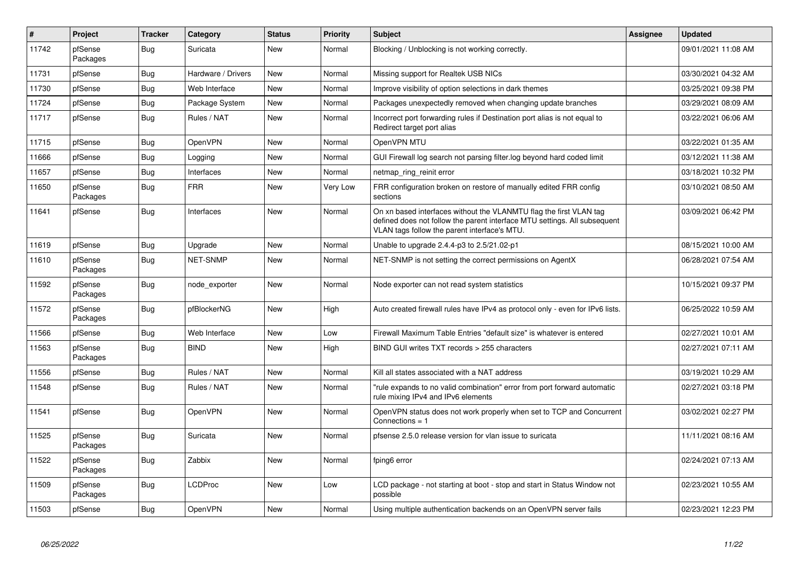| $\vert$ # | Project             | <b>Tracker</b> | Category           | <b>Status</b> | <b>Priority</b> | <b>Subject</b>                                                                                                                                                                                  | Assignee | <b>Updated</b>      |
|-----------|---------------------|----------------|--------------------|---------------|-----------------|-------------------------------------------------------------------------------------------------------------------------------------------------------------------------------------------------|----------|---------------------|
| 11742     | pfSense<br>Packages | <b>Bug</b>     | Suricata           | <b>New</b>    | Normal          | Blocking / Unblocking is not working correctly.                                                                                                                                                 |          | 09/01/2021 11:08 AM |
| 11731     | pfSense             | Bug            | Hardware / Drivers | New           | Normal          | Missing support for Realtek USB NICs                                                                                                                                                            |          | 03/30/2021 04:32 AM |
| 11730     | pfSense             | Bug            | Web Interface      | <b>New</b>    | Normal          | Improve visibility of option selections in dark themes                                                                                                                                          |          | 03/25/2021 09:38 PM |
| 11724     | pfSense             | <b>Bug</b>     | Package System     | <b>New</b>    | Normal          | Packages unexpectedly removed when changing update branches                                                                                                                                     |          | 03/29/2021 08:09 AM |
| 11717     | pfSense             | <b>Bug</b>     | Rules / NAT        | <b>New</b>    | Normal          | Incorrect port forwarding rules if Destination port alias is not equal to<br>Redirect target port alias                                                                                         |          | 03/22/2021 06:06 AM |
| 11715     | pfSense             | <b>Bug</b>     | OpenVPN            | <b>New</b>    | Normal          | OpenVPN MTU                                                                                                                                                                                     |          | 03/22/2021 01:35 AM |
| 11666     | pfSense             | <b>Bug</b>     | Logging            | <b>New</b>    | Normal          | GUI Firewall log search not parsing filter.log beyond hard coded limit                                                                                                                          |          | 03/12/2021 11:38 AM |
| 11657     | pfSense             | <b>Bug</b>     | Interfaces         | <b>New</b>    | Normal          | netmap_ring_reinit error                                                                                                                                                                        |          | 03/18/2021 10:32 PM |
| 11650     | pfSense<br>Packages | Bug            | <b>FRR</b>         | <b>New</b>    | Very Low        | FRR configuration broken on restore of manually edited FRR config<br>sections                                                                                                                   |          | 03/10/2021 08:50 AM |
| 11641     | pfSense             | Bug            | Interfaces         | New           | Normal          | On xn based interfaces without the VLANMTU flag the first VLAN tag<br>defined does not follow the parent interface MTU settings. All subsequent<br>VLAN tags follow the parent interface's MTU. |          | 03/09/2021 06:42 PM |
| 11619     | pfSense             | <b>Bug</b>     | Upgrade            | <b>New</b>    | Normal          | Unable to upgrade 2.4.4-p3 to 2.5/21.02-p1                                                                                                                                                      |          | 08/15/2021 10:00 AM |
| 11610     | pfSense<br>Packages | <b>Bug</b>     | <b>NET-SNMP</b>    | New           | Normal          | NET-SNMP is not setting the correct permissions on AgentX                                                                                                                                       |          | 06/28/2021 07:54 AM |
| 11592     | pfSense<br>Packages | Bug            | node exporter      | <b>New</b>    | Normal          | Node exporter can not read system statistics                                                                                                                                                    |          | 10/15/2021 09:37 PM |
| 11572     | pfSense<br>Packages | <b>Bug</b>     | pfBlockerNG        | <b>New</b>    | High            | Auto created firewall rules have IPv4 as protocol only - even for IPv6 lists.                                                                                                                   |          | 06/25/2022 10:59 AM |
| 11566     | pfSense             | Bug            | Web Interface      | <b>New</b>    | Low             | Firewall Maximum Table Entries "default size" is whatever is entered                                                                                                                            |          | 02/27/2021 10:01 AM |
| 11563     | pfSense<br>Packages | <b>Bug</b>     | <b>BIND</b>        | <b>New</b>    | High            | BIND GUI writes TXT records > 255 characters                                                                                                                                                    |          | 02/27/2021 07:11 AM |
| 11556     | pfSense             | <b>Bug</b>     | Rules / NAT        | <b>New</b>    | Normal          | Kill all states associated with a NAT address                                                                                                                                                   |          | 03/19/2021 10:29 AM |
| 11548     | pfSense             | <b>Bug</b>     | Rules / NAT        | <b>New</b>    | Normal          | "rule expands to no valid combination" error from port forward automatic<br>rule mixing IPv4 and IPv6 elements                                                                                  |          | 02/27/2021 03:18 PM |
| 11541     | pfSense             | <b>Bug</b>     | OpenVPN            | <b>New</b>    | Normal          | OpenVPN status does not work properly when set to TCP and Concurrent<br>Connections = 1                                                                                                         |          | 03/02/2021 02:27 PM |
| 11525     | pfSense<br>Packages | <b>Bug</b>     | Suricata           | <b>New</b>    | Normal          | pfsense 2.5.0 release version for vlan issue to suricata                                                                                                                                        |          | 11/11/2021 08:16 AM |
| 11522     | pfSense<br>Packages | <b>Bug</b>     | Zabbix             | New           | Normal          | fping6 error                                                                                                                                                                                    |          | 02/24/2021 07:13 AM |
| 11509     | pfSense<br>Packages | Bug            | <b>LCDProc</b>     | <b>New</b>    | Low             | LCD package - not starting at boot - stop and start in Status Window not<br>possible                                                                                                            |          | 02/23/2021 10:55 AM |
| 11503     | pfSense             | Bug            | OpenVPN            | <b>New</b>    | Normal          | Using multiple authentication backends on an OpenVPN server fails                                                                                                                               |          | 02/23/2021 12:23 PM |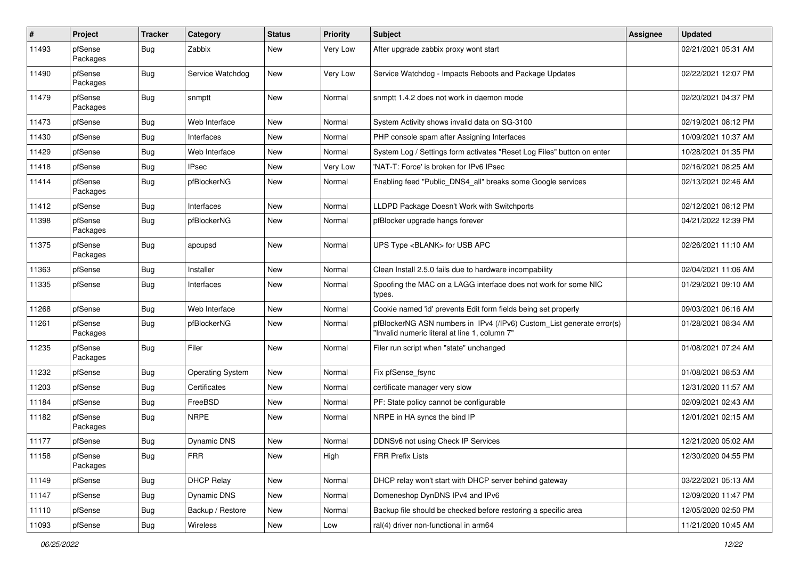| #     | Project             | <b>Tracker</b> | Category                | <b>Status</b> | <b>Priority</b> | <b>Subject</b>                                                                                                         | Assignee | <b>Updated</b>      |
|-------|---------------------|----------------|-------------------------|---------------|-----------------|------------------------------------------------------------------------------------------------------------------------|----------|---------------------|
| 11493 | pfSense<br>Packages | Bug            | Zabbix                  | <b>New</b>    | Very Low        | After upgrade zabbix proxy wont start                                                                                  |          | 02/21/2021 05:31 AM |
| 11490 | pfSense<br>Packages | Bug            | Service Watchdog        | New           | Very Low        | Service Watchdog - Impacts Reboots and Package Updates                                                                 |          | 02/22/2021 12:07 PM |
| 11479 | pfSense<br>Packages | Bug            | snmptt                  | <b>New</b>    | Normal          | snmptt 1.4.2 does not work in daemon mode                                                                              |          | 02/20/2021 04:37 PM |
| 11473 | pfSense             | Bug            | Web Interface           | <b>New</b>    | Normal          | System Activity shows invalid data on SG-3100                                                                          |          | 02/19/2021 08:12 PM |
| 11430 | pfSense             | Bug            | Interfaces              | <b>New</b>    | Normal          | PHP console spam after Assigning Interfaces                                                                            |          | 10/09/2021 10:37 AM |
| 11429 | pfSense             | <b>Bug</b>     | Web Interface           | <b>New</b>    | Normal          | System Log / Settings form activates "Reset Log Files" button on enter                                                 |          | 10/28/2021 01:35 PM |
| 11418 | pfSense             | <b>Bug</b>     | <b>IPsec</b>            | <b>New</b>    | Very Low        | 'NAT-T: Force' is broken for IPv6 IPsec                                                                                |          | 02/16/2021 08:25 AM |
| 11414 | pfSense<br>Packages | Bug            | pfBlockerNG             | <b>New</b>    | Normal          | Enabling feed "Public_DNS4_all" breaks some Google services                                                            |          | 02/13/2021 02:46 AM |
| 11412 | pfSense             | Bug            | Interfaces              | <b>New</b>    | Normal          | LLDPD Package Doesn't Work with Switchports                                                                            |          | 02/12/2021 08:12 PM |
| 11398 | pfSense<br>Packages | Bug            | pfBlockerNG             | <b>New</b>    | Normal          | pfBlocker upgrade hangs forever                                                                                        |          | 04/21/2022 12:39 PM |
| 11375 | pfSense<br>Packages | Bug            | apcupsd                 | <b>New</b>    | Normal          | UPS Type <blank> for USB APC</blank>                                                                                   |          | 02/26/2021 11:10 AM |
| 11363 | pfSense             | Bug            | Installer               | <b>New</b>    | Normal          | Clean Install 2.5.0 fails due to hardware incompability                                                                |          | 02/04/2021 11:06 AM |
| 11335 | pfSense             | Bug            | Interfaces              | <b>New</b>    | Normal          | Spoofing the MAC on a LAGG interface does not work for some NIC<br>types.                                              |          | 01/29/2021 09:10 AM |
| 11268 | pfSense             | <b>Bug</b>     | Web Interface           | <b>New</b>    | Normal          | Cookie named 'id' prevents Edit form fields being set properly                                                         |          | 09/03/2021 06:16 AM |
| 11261 | pfSense<br>Packages | Bug            | pfBlockerNG             | <b>New</b>    | Normal          | pfBlockerNG ASN numbers in IPv4 (/IPv6) Custom_List generate error(s)<br>"Invalid numeric literal at line 1, column 7" |          | 01/28/2021 08:34 AM |
| 11235 | pfSense<br>Packages | Bug            | Filer                   | New           | Normal          | Filer run script when "state" unchanged                                                                                |          | 01/08/2021 07:24 AM |
| 11232 | pfSense             | Bug            | <b>Operating System</b> | <b>New</b>    | Normal          | Fix pfSense_fsync                                                                                                      |          | 01/08/2021 08:53 AM |
| 11203 | pfSense             | <b>Bug</b>     | Certificates            | <b>New</b>    | Normal          | certificate manager very slow                                                                                          |          | 12/31/2020 11:57 AM |
| 11184 | pfSense             | Bug            | FreeBSD                 | <b>New</b>    | Normal          | PF: State policy cannot be configurable                                                                                |          | 02/09/2021 02:43 AM |
| 11182 | pfSense<br>Packages | Bug            | <b>NRPE</b>             | New           | Normal          | NRPE in HA syncs the bind IP                                                                                           |          | 12/01/2021 02:15 AM |
| 11177 | pfSense             | Bug            | Dynamic DNS             | <b>New</b>    | Normal          | DDNSv6 not using Check IP Services                                                                                     |          | 12/21/2020 05:02 AM |
| 11158 | pfSense<br>Packages | <b>Bug</b>     | <b>FRR</b>              | New           | High            | <b>FRR Prefix Lists</b>                                                                                                |          | 12/30/2020 04:55 PM |
| 11149 | pfSense             | Bug            | <b>DHCP Relay</b>       | New           | Normal          | DHCP relay won't start with DHCP server behind gateway                                                                 |          | 03/22/2021 05:13 AM |
| 11147 | pfSense             | <b>Bug</b>     | Dynamic DNS             | New           | Normal          | Domeneshop DynDNS IPv4 and IPv6                                                                                        |          | 12/09/2020 11:47 PM |
| 11110 | pfSense             | <b>Bug</b>     | Backup / Restore        | New           | Normal          | Backup file should be checked before restoring a specific area                                                         |          | 12/05/2020 02:50 PM |
| 11093 | pfSense             | <b>Bug</b>     | Wireless                | New           | Low             | ral(4) driver non-functional in arm64                                                                                  |          | 11/21/2020 10:45 AM |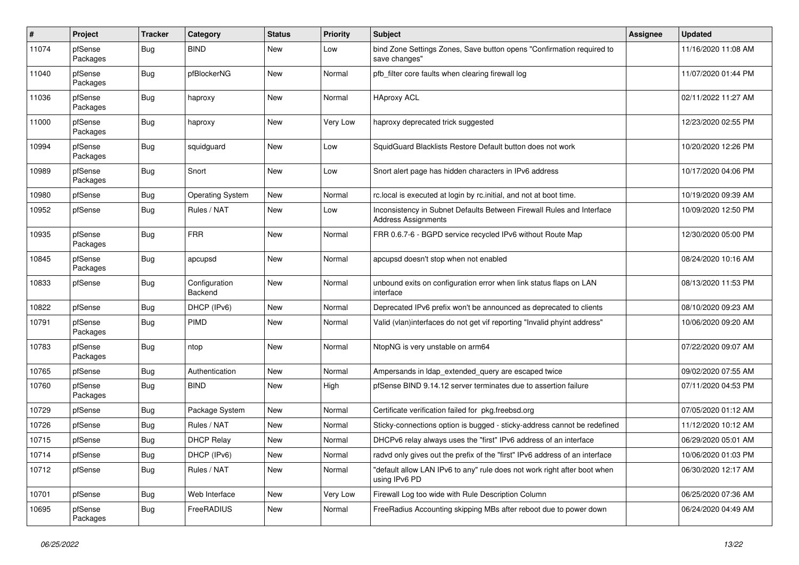| $\pmb{\#}$ | Project             | <b>Tracker</b> | Category                 | <b>Status</b> | <b>Priority</b> | Subject                                                                                             | Assignee | <b>Updated</b>      |
|------------|---------------------|----------------|--------------------------|---------------|-----------------|-----------------------------------------------------------------------------------------------------|----------|---------------------|
| 11074      | pfSense<br>Packages | <b>Bug</b>     | <b>BIND</b>              | New           | Low             | bind Zone Settings Zones, Save button opens "Confirmation required to<br>save changes"              |          | 11/16/2020 11:08 AM |
| 11040      | pfSense<br>Packages | <b>Bug</b>     | pfBlockerNG              | <b>New</b>    | Normal          | pfb_filter core faults when clearing firewall log                                                   |          | 11/07/2020 01:44 PM |
| 11036      | pfSense<br>Packages | Bug            | haproxy                  | <b>New</b>    | Normal          | <b>HAproxy ACL</b>                                                                                  |          | 02/11/2022 11:27 AM |
| 11000      | pfSense<br>Packages | Bug            | haproxy                  | <b>New</b>    | Very Low        | haproxy deprecated trick suggested                                                                  |          | 12/23/2020 02:55 PM |
| 10994      | pfSense<br>Packages | Bug            | squidguard               | <b>New</b>    | Low             | SquidGuard Blacklists Restore Default button does not work                                          |          | 10/20/2020 12:26 PM |
| 10989      | pfSense<br>Packages | <b>Bug</b>     | Snort                    | <b>New</b>    | Low             | Snort alert page has hidden characters in IPv6 address                                              |          | 10/17/2020 04:06 PM |
| 10980      | pfSense             | <b>Bug</b>     | <b>Operating System</b>  | <b>New</b>    | Normal          | rc.local is executed at login by rc.initial, and not at boot time.                                  |          | 10/19/2020 09:39 AM |
| 10952      | pfSense             | <b>Bug</b>     | Rules / NAT              | <b>New</b>    | Low             | Inconsistency in Subnet Defaults Between Firewall Rules and Interface<br><b>Address Assignments</b> |          | 10/09/2020 12:50 PM |
| 10935      | pfSense<br>Packages | Bug            | <b>FRR</b>               | <b>New</b>    | Normal          | FRR 0.6.7-6 - BGPD service recycled IPv6 without Route Map                                          |          | 12/30/2020 05:00 PM |
| 10845      | pfSense<br>Packages | <b>Bug</b>     | apcupsd                  | <b>New</b>    | Normal          | apcupsd doesn't stop when not enabled                                                               |          | 08/24/2020 10:16 AM |
| 10833      | pfSense             | <b>Bug</b>     | Configuration<br>Backend | <b>New</b>    | Normal          | unbound exits on configuration error when link status flaps on LAN<br>interface                     |          | 08/13/2020 11:53 PM |
| 10822      | pfSense             | <b>Bug</b>     | DHCP (IPv6)              | <b>New</b>    | Normal          | Deprecated IPv6 prefix won't be announced as deprecated to clients                                  |          | 08/10/2020 09:23 AM |
| 10791      | pfSense<br>Packages | Bug            | <b>PIMD</b>              | New           | Normal          | Valid (vlan)interfaces do not get vif reporting "Invalid phyint address"                            |          | 10/06/2020 09:20 AM |
| 10783      | pfSense<br>Packages | Bug            | ntop                     | <b>New</b>    | Normal          | NtopNG is very unstable on arm64                                                                    |          | 07/22/2020 09:07 AM |
| 10765      | pfSense             | <b>Bug</b>     | Authentication           | <b>New</b>    | Normal          | Ampersands in Idap_extended_query are escaped twice                                                 |          | 09/02/2020 07:55 AM |
| 10760      | pfSense<br>Packages | Bug            | <b>BIND</b>              | New           | High            | pfSense BIND 9.14.12 server terminates due to assertion failure                                     |          | 07/11/2020 04:53 PM |
| 10729      | pfSense             | <b>Bug</b>     | Package System           | <b>New</b>    | Normal          | Certificate verification failed for pkg.freebsd.org                                                 |          | 07/05/2020 01:12 AM |
| 10726      | pfSense             | <b>Bug</b>     | Rules / NAT              | New           | Normal          | Sticky-connections option is bugged - sticky-address cannot be redefined                            |          | 11/12/2020 10:12 AM |
| 10715      | pfSense             | <b>Bug</b>     | <b>DHCP Relay</b>        | New           | Normal          | DHCPv6 relay always uses the "first" IPv6 address of an interface                                   |          | 06/29/2020 05:01 AM |
| 10714      | pfSense             | <b>Bug</b>     | DHCP (IPv6)              | New           | Normal          | radvd only gives out the prefix of the "first" IPv6 address of an interface                         |          | 10/06/2020 01:03 PM |
| 10712      | pfSense             | <b>Bug</b>     | Rules / NAT              | New           | Normal          | "default allow LAN IPv6 to any" rule does not work right after boot when<br>using IPv6 PD           |          | 06/30/2020 12:17 AM |
| 10701      | pfSense             | <b>Bug</b>     | Web Interface            | New           | Very Low        | Firewall Log too wide with Rule Description Column                                                  |          | 06/25/2020 07:36 AM |
| 10695      | pfSense<br>Packages | <b>Bug</b>     | FreeRADIUS               | New           | Normal          | FreeRadius Accounting skipping MBs after reboot due to power down                                   |          | 06/24/2020 04:49 AM |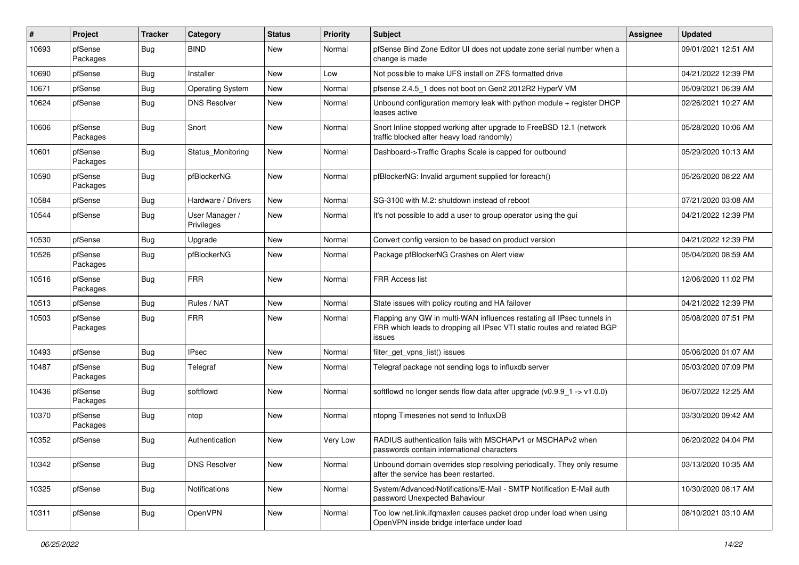| $\vert$ # | Project             | <b>Tracker</b> | Category                     | <b>Status</b> | <b>Priority</b> | <b>Subject</b>                                                                                                                                              | <b>Assignee</b> | <b>Updated</b>      |
|-----------|---------------------|----------------|------------------------------|---------------|-----------------|-------------------------------------------------------------------------------------------------------------------------------------------------------------|-----------------|---------------------|
| 10693     | pfSense<br>Packages | Bug            | <b>BIND</b>                  | New           | Normal          | pfSense Bind Zone Editor UI does not update zone serial number when a<br>change is made                                                                     |                 | 09/01/2021 12:51 AM |
| 10690     | pfSense             | <b>Bug</b>     | Installer                    | New           | Low             | Not possible to make UFS install on ZFS formatted drive                                                                                                     |                 | 04/21/2022 12:39 PM |
| 10671     | pfSense             | <b>Bug</b>     | <b>Operating System</b>      | New           | Normal          | pfsense 2.4.5 1 does not boot on Gen2 2012R2 HyperV VM                                                                                                      |                 | 05/09/2021 06:39 AM |
| 10624     | pfSense             | <b>Bug</b>     | <b>DNS Resolver</b>          | New           | Normal          | Unbound configuration memory leak with python module + register DHCP<br>leases active                                                                       |                 | 02/26/2021 10:27 AM |
| 10606     | pfSense<br>Packages | Bug            | Snort                        | New           | Normal          | Snort Inline stopped working after upgrade to FreeBSD 12.1 (network<br>traffic blocked after heavy load randomly)                                           |                 | 05/28/2020 10:06 AM |
| 10601     | pfSense<br>Packages | <b>Bug</b>     | Status Monitoring            | New           | Normal          | Dashboard->Traffic Graphs Scale is capped for outbound                                                                                                      |                 | 05/29/2020 10:13 AM |
| 10590     | pfSense<br>Packages | Bug            | pfBlockerNG                  | <b>New</b>    | Normal          | pfBlockerNG: Invalid argument supplied for foreach()                                                                                                        |                 | 05/26/2020 08:22 AM |
| 10584     | pfSense             | <b>Bug</b>     | Hardware / Drivers           | <b>New</b>    | Normal          | SG-3100 with M.2: shutdown instead of reboot                                                                                                                |                 | 07/21/2020 03:08 AM |
| 10544     | pfSense             | Bug            | User Manager /<br>Privileges | New           | Normal          | It's not possible to add a user to group operator using the gui                                                                                             |                 | 04/21/2022 12:39 PM |
| 10530     | pfSense             | Bug            | Upgrade                      | <b>New</b>    | Normal          | Convert config version to be based on product version                                                                                                       |                 | 04/21/2022 12:39 PM |
| 10526     | pfSense<br>Packages | <b>Bug</b>     | pfBlockerNG                  | New           | Normal          | Package pfBlockerNG Crashes on Alert view                                                                                                                   |                 | 05/04/2020 08:59 AM |
| 10516     | pfSense<br>Packages | <b>Bug</b>     | <b>FRR</b>                   | <b>New</b>    | Normal          | FRR Access list                                                                                                                                             |                 | 12/06/2020 11:02 PM |
| 10513     | pfSense             | Bug            | Rules / NAT                  | <b>New</b>    | Normal          | State issues with policy routing and HA failover                                                                                                            |                 | 04/21/2022 12:39 PM |
| 10503     | pfSense<br>Packages | Bug            | <b>FRR</b>                   | New           | Normal          | Flapping any GW in multi-WAN influences restating all IPsec tunnels in<br>FRR which leads to dropping all IPsec VTI static routes and related BGP<br>issues |                 | 05/08/2020 07:51 PM |
| 10493     | pfSense             | Bug            | <b>IPsec</b>                 | New           | Normal          | filter get vpns list() issues                                                                                                                               |                 | 05/06/2020 01:07 AM |
| 10487     | pfSense<br>Packages | <b>Bug</b>     | Telegraf                     | New           | Normal          | Telegraf package not sending logs to influxdb server                                                                                                        |                 | 05/03/2020 07:09 PM |
| 10436     | pfSense<br>Packages | <b>Bug</b>     | softflowd                    | <b>New</b>    | Normal          | softflowd no longer sends flow data after upgrade $(v0.9.9 - 1 -> v1.0.0)$                                                                                  |                 | 06/07/2022 12:25 AM |
| 10370     | pfSense<br>Packages | <b>Bug</b>     | ntop                         | <b>New</b>    | Normal          | ntopng Timeseries not send to InfluxDB                                                                                                                      |                 | 03/30/2020 09:42 AM |
| 10352     | pfSense             | Bug            | Authentication               | New           | Very Low        | RADIUS authentication fails with MSCHAPv1 or MSCHAPv2 when<br>passwords contain international characters                                                    |                 | 06/20/2022 04:04 PM |
| 10342     | pfSense             | <b>Bug</b>     | <b>DNS Resolver</b>          | New           | Normal          | Unbound domain overrides stop resolving periodically. They only resume<br>after the service has been restarted.                                             |                 | 03/13/2020 10:35 AM |
| 10325     | pfSense             | <b>Bug</b>     | Notifications                | New           | Normal          | System/Advanced/Notifications/E-Mail - SMTP Notification E-Mail auth<br>password Unexpected Bahaviour                                                       |                 | 10/30/2020 08:17 AM |
| 10311     | pfSense             | <b>Bug</b>     | OpenVPN                      | New           | Normal          | Too low net.link.ifqmaxlen causes packet drop under load when using<br>OpenVPN inside bridge interface under load                                           |                 | 08/10/2021 03:10 AM |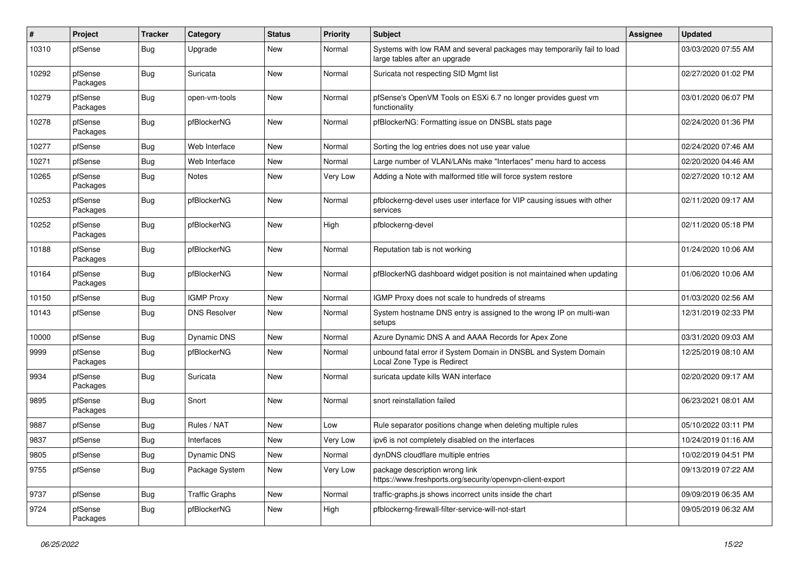| #     | Project             | <b>Tracker</b> | Category              | <b>Status</b> | <b>Priority</b> | Subject                                                                                                 | Assignee | <b>Updated</b>      |
|-------|---------------------|----------------|-----------------------|---------------|-----------------|---------------------------------------------------------------------------------------------------------|----------|---------------------|
| 10310 | pfSense             | <b>Bug</b>     | Upgrade               | New           | Normal          | Systems with low RAM and several packages may temporarily fail to load<br>large tables after an upgrade |          | 03/03/2020 07:55 AM |
| 10292 | pfSense<br>Packages | <b>Bug</b>     | Suricata              | <b>New</b>    | Normal          | Suricata not respecting SID Mgmt list                                                                   |          | 02/27/2020 01:02 PM |
| 10279 | pfSense<br>Packages | <b>Bug</b>     | open-vm-tools         | New           | Normal          | pfSense's OpenVM Tools on ESXi 6.7 no longer provides guest vm<br>functionality                         |          | 03/01/2020 06:07 PM |
| 10278 | pfSense<br>Packages | <b>Bug</b>     | pfBlockerNG           | New           | Normal          | pfBlockerNG: Formatting issue on DNSBL stats page                                                       |          | 02/24/2020 01:36 PM |
| 10277 | pfSense             | <b>Bug</b>     | Web Interface         | <b>New</b>    | Normal          | Sorting the log entries does not use year value                                                         |          | 02/24/2020 07:46 AM |
| 10271 | pfSense             | <b>Bug</b>     | Web Interface         | <b>New</b>    | Normal          | Large number of VLAN/LANs make "Interfaces" menu hard to access                                         |          | 02/20/2020 04:46 AM |
| 10265 | pfSense<br>Packages | Bug            | Notes                 | New           | Very Low        | Adding a Note with malformed title will force system restore                                            |          | 02/27/2020 10:12 AM |
| 10253 | pfSense<br>Packages | Bug            | pfBlockerNG           | New           | Normal          | pfblockerng-devel uses user interface for VIP causing issues with other<br>services                     |          | 02/11/2020 09:17 AM |
| 10252 | pfSense<br>Packages | Bug            | pfBlockerNG           | New           | High            | pfblockerng-devel                                                                                       |          | 02/11/2020 05:18 PM |
| 10188 | pfSense<br>Packages | <b>Bug</b>     | pfBlockerNG           | New           | Normal          | Reputation tab is not working                                                                           |          | 01/24/2020 10:06 AM |
| 10164 | pfSense<br>Packages | Bug            | pfBlockerNG           | New           | Normal          | pfBlockerNG dashboard widget position is not maintained when updating                                   |          | 01/06/2020 10:06 AM |
| 10150 | pfSense             | <b>Bug</b>     | <b>IGMP Proxy</b>     | <b>New</b>    | Normal          | IGMP Proxy does not scale to hundreds of streams                                                        |          | 01/03/2020 02:56 AM |
| 10143 | pfSense             | Bug            | <b>DNS Resolver</b>   | <b>New</b>    | Normal          | System hostname DNS entry is assigned to the wrong IP on multi-wan<br>setups                            |          | 12/31/2019 02:33 PM |
| 10000 | pfSense             | <b>Bug</b>     | <b>Dynamic DNS</b>    | New           | Normal          | Azure Dynamic DNS A and AAAA Records for Apex Zone                                                      |          | 03/31/2020 09:03 AM |
| 9999  | pfSense<br>Packages | <b>Bug</b>     | pfBlockerNG           | New           | Normal          | unbound fatal error if System Domain in DNSBL and System Domain<br>Local Zone Type is Redirect          |          | 12/25/2019 08:10 AM |
| 9934  | pfSense<br>Packages | <b>Bug</b>     | Suricata              | New           | Normal          | suricata update kills WAN interface                                                                     |          | 02/20/2020 09:17 AM |
| 9895  | pfSense<br>Packages | <b>Bug</b>     | Snort                 | New           | Normal          | snort reinstallation failed                                                                             |          | 06/23/2021 08:01 AM |
| 9887  | pfSense             | <b>Bug</b>     | Rules / NAT           | <b>New</b>    | Low             | Rule separator positions change when deleting multiple rules                                            |          | 05/10/2022 03:11 PM |
| 9837  | pfSense             | Bug            | Interfaces            | New           | Very Low        | ipv6 is not completely disabled on the interfaces                                                       |          | 10/24/2019 01:16 AM |
| 9805  | pfSense             | <b>Bug</b>     | Dynamic DNS           | New           | Normal          | dynDNS cloudflare multiple entries                                                                      |          | 10/02/2019 04:51 PM |
| 9755  | pfSense             | <b>Bug</b>     | Package System        | New           | Very Low        | package description wrong link<br>https://www.freshports.org/security/openvpn-client-export             |          | 09/13/2019 07:22 AM |
| 9737  | pfSense             | <b>Bug</b>     | <b>Traffic Graphs</b> | New           | Normal          | traffic-graphs.js shows incorrect units inside the chart                                                |          | 09/09/2019 06:35 AM |
| 9724  | pfSense<br>Packages | <b>Bug</b>     | pfBlockerNG           | New           | High            | pfblockerng-firewall-filter-service-will-not-start                                                      |          | 09/05/2019 06:32 AM |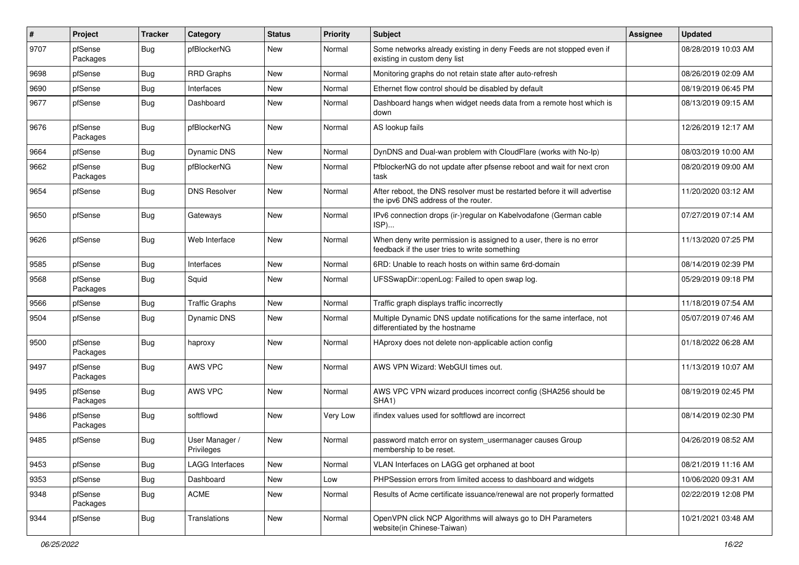| $\pmb{\#}$ | Project             | <b>Tracker</b> | Category                     | <b>Status</b> | <b>Priority</b> | <b>Subject</b>                                                                                                       | <b>Assignee</b> | <b>Updated</b>      |
|------------|---------------------|----------------|------------------------------|---------------|-----------------|----------------------------------------------------------------------------------------------------------------------|-----------------|---------------------|
| 9707       | pfSense<br>Packages | <b>Bug</b>     | pfBlockerNG                  | New           | Normal          | Some networks already existing in deny Feeds are not stopped even if<br>existing in custom deny list                 |                 | 08/28/2019 10:03 AM |
| 9698       | pfSense             | <b>Bug</b>     | <b>RRD Graphs</b>            | New           | Normal          | Monitoring graphs do not retain state after auto-refresh                                                             |                 | 08/26/2019 02:09 AM |
| 9690       | pfSense             | <b>Bug</b>     | Interfaces                   | New           | Normal          | Ethernet flow control should be disabled by default                                                                  |                 | 08/19/2019 06:45 PM |
| 9677       | pfSense             | <b>Bug</b>     | Dashboard                    | New           | Normal          | Dashboard hangs when widget needs data from a remote host which is<br>down                                           |                 | 08/13/2019 09:15 AM |
| 9676       | pfSense<br>Packages | <b>Bug</b>     | pfBlockerNG                  | New           | Normal          | AS lookup fails                                                                                                      |                 | 12/26/2019 12:17 AM |
| 9664       | pfSense             | <b>Bug</b>     | <b>Dynamic DNS</b>           | New           | Normal          | DynDNS and Dual-wan problem with CloudFlare (works with No-Ip)                                                       |                 | 08/03/2019 10:00 AM |
| 9662       | pfSense<br>Packages | <b>Bug</b>     | pfBlockerNG                  | New           | Normal          | PfblockerNG do not update after pfsense reboot and wait for next cron<br>task                                        |                 | 08/20/2019 09:00 AM |
| 9654       | pfSense             | Bug            | <b>DNS Resolver</b>          | New           | Normal          | After reboot, the DNS resolver must be restarted before it will advertise<br>the ipv6 DNS address of the router.     |                 | 11/20/2020 03:12 AM |
| 9650       | pfSense             | <b>Bug</b>     | Gateways                     | <b>New</b>    | Normal          | IPv6 connection drops (ir-)regular on Kabelvodafone (German cable<br>ISP)                                            |                 | 07/27/2019 07:14 AM |
| 9626       | pfSense             | <b>Bug</b>     | Web Interface                | New           | Normal          | When deny write permission is assigned to a user, there is no error<br>feedback if the user tries to write something |                 | 11/13/2020 07:25 PM |
| 9585       | pfSense             | <b>Bug</b>     | Interfaces                   | New           | Normal          | 6RD: Unable to reach hosts on within same 6rd-domain                                                                 |                 | 08/14/2019 02:39 PM |
| 9568       | pfSense<br>Packages | <b>Bug</b>     | Squid                        | <b>New</b>    | Normal          | UFSSwapDir::openLog: Failed to open swap log.                                                                        |                 | 05/29/2019 09:18 PM |
| 9566       | pfSense             | <b>Bug</b>     | <b>Traffic Graphs</b>        | <b>New</b>    | Normal          | Traffic graph displays traffic incorrectly                                                                           |                 | 11/18/2019 07:54 AM |
| 9504       | pfSense             | <b>Bug</b>     | Dynamic DNS                  | New           | Normal          | Multiple Dynamic DNS update notifications for the same interface, not<br>differentiated by the hostname              |                 | 05/07/2019 07:46 AM |
| 9500       | pfSense<br>Packages | Bug            | haproxy                      | New           | Normal          | HAproxy does not delete non-applicable action config                                                                 |                 | 01/18/2022 06:28 AM |
| 9497       | pfSense<br>Packages | <b>Bug</b>     | AWS VPC                      | New           | Normal          | AWS VPN Wizard: WebGUI times out.                                                                                    |                 | 11/13/2019 10:07 AM |
| 9495       | pfSense<br>Packages | <b>Bug</b>     | AWS VPC                      | <b>New</b>    | Normal          | AWS VPC VPN wizard produces incorrect config (SHA256 should be<br>SHA <sub>1</sub> )                                 |                 | 08/19/2019 02:45 PM |
| 9486       | pfSense<br>Packages | <b>Bug</b>     | softflowd                    | <b>New</b>    | Very Low        | ifindex values used for softflowd are incorrect                                                                      |                 | 08/14/2019 02:30 PM |
| 9485       | pfSense             | <b>Bug</b>     | User Manager /<br>Privileges | New           | Normal          | password match error on system_usermanager causes Group<br>membership to be reset.                                   |                 | 04/26/2019 08:52 AM |
| 9453       | pfSense             | <b>Bug</b>     | <b>LAGG Interfaces</b>       | New           | Normal          | VLAN Interfaces on LAGG get orphaned at boot                                                                         |                 | 08/21/2019 11:16 AM |
| 9353       | pfSense             | <b>Bug</b>     | Dashboard                    | <b>New</b>    | Low             | PHPSession errors from limited access to dashboard and widgets                                                       |                 | 10/06/2020 09:31 AM |
| 9348       | pfSense<br>Packages | Bug            | <b>ACME</b>                  | New           | Normal          | Results of Acme certificate issuance/renewal are not properly formatted                                              |                 | 02/22/2019 12:08 PM |
| 9344       | pfSense             | <b>Bug</b>     | Translations                 | New           | Normal          | OpenVPN click NCP Algorithms will always go to DH Parameters<br>website(in Chinese-Taiwan)                           |                 | 10/21/2021 03:48 AM |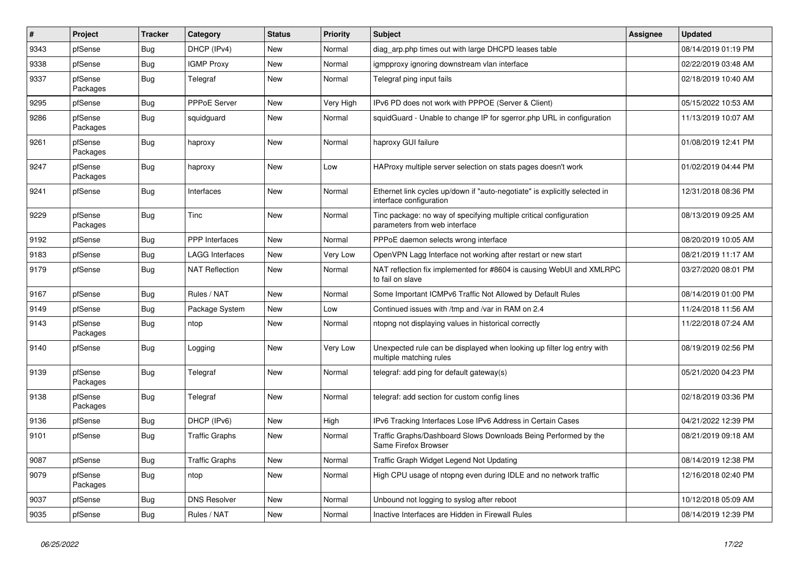| $\vert$ # | <b>Project</b>      | <b>Tracker</b> | Category               | <b>Status</b> | Priority  | <b>Subject</b>                                                                                        | <b>Assignee</b> | <b>Updated</b>      |
|-----------|---------------------|----------------|------------------------|---------------|-----------|-------------------------------------------------------------------------------------------------------|-----------------|---------------------|
| 9343      | pfSense             | <b>Bug</b>     | DHCP (IPv4)            | <b>New</b>    | Normal    | diag_arp.php times out with large DHCPD leases table                                                  |                 | 08/14/2019 01:19 PM |
| 9338      | pfSense             | <b>Bug</b>     | <b>IGMP Proxy</b>      | <b>New</b>    | Normal    | igmpproxy ignoring downstream vlan interface                                                          |                 | 02/22/2019 03:48 AM |
| 9337      | pfSense<br>Packages | Bug            | Telegraf               | New           | Normal    | Telegraf ping input fails                                                                             |                 | 02/18/2019 10:40 AM |
| 9295      | pfSense             | <b>Bug</b>     | PPPoE Server           | <b>New</b>    | Very High | IPv6 PD does not work with PPPOE (Server & Client)                                                    |                 | 05/15/2022 10:53 AM |
| 9286      | pfSense<br>Packages | <b>Bug</b>     | squidguard             | <b>New</b>    | Normal    | squidGuard - Unable to change IP for sgerror.php URL in configuration                                 |                 | 11/13/2019 10:07 AM |
| 9261      | pfSense<br>Packages | <b>Bug</b>     | haproxy                | <b>New</b>    | Normal    | haproxy GUI failure                                                                                   |                 | 01/08/2019 12:41 PM |
| 9247      | pfSense<br>Packages | <b>Bug</b>     | haproxy                | New           | Low       | HAProxy multiple server selection on stats pages doesn't work                                         |                 | 01/02/2019 04:44 PM |
| 9241      | pfSense             | Bug            | Interfaces             | <b>New</b>    | Normal    | Ethernet link cycles up/down if "auto-negotiate" is explicitly selected in<br>interface configuration |                 | 12/31/2018 08:36 PM |
| 9229      | pfSense<br>Packages | Bug            | Tinc                   | <b>New</b>    | Normal    | Tinc package: no way of specifying multiple critical configuration<br>parameters from web interface   |                 | 08/13/2019 09:25 AM |
| 9192      | pfSense             | <b>Bug</b>     | <b>PPP</b> Interfaces  | <b>New</b>    | Normal    | PPPoE daemon selects wrong interface                                                                  |                 | 08/20/2019 10:05 AM |
| 9183      | pfSense             | <b>Bug</b>     | <b>LAGG Interfaces</b> | <b>New</b>    | Very Low  | OpenVPN Lagg Interface not working after restart or new start                                         |                 | 08/21/2019 11:17 AM |
| 9179      | pfSense             | <b>Bug</b>     | <b>NAT Reflection</b>  | New           | Normal    | NAT reflection fix implemented for #8604 is causing WebUI and XMLRPC<br>to fail on slave              |                 | 03/27/2020 08:01 PM |
| 9167      | pfSense             | <b>Bug</b>     | Rules / NAT            | <b>New</b>    | Normal    | Some Important ICMPv6 Traffic Not Allowed by Default Rules                                            |                 | 08/14/2019 01:00 PM |
| 9149      | pfSense             | <b>Bug</b>     | Package System         | <b>New</b>    | Low       | Continued issues with /tmp and /var in RAM on 2.4                                                     |                 | 11/24/2018 11:56 AM |
| 9143      | pfSense<br>Packages | <b>Bug</b>     | ntop                   | <b>New</b>    | Normal    | ntopng not displaying values in historical correctly                                                  |                 | 11/22/2018 07:24 AM |
| 9140      | pfSense             | Bug            | Logging                | <b>New</b>    | Very Low  | Unexpected rule can be displayed when looking up filter log entry with<br>multiple matching rules     |                 | 08/19/2019 02:56 PM |
| 9139      | pfSense<br>Packages | <b>Bug</b>     | Telegraf               | New           | Normal    | telegraf: add ping for default gateway(s)                                                             |                 | 05/21/2020 04:23 PM |
| 9138      | pfSense<br>Packages | <b>Bug</b>     | Telegraf               | <b>New</b>    | Normal    | telegraf: add section for custom config lines                                                         |                 | 02/18/2019 03:36 PM |
| 9136      | pfSense             | Bug            | DHCP (IPv6)            | <b>New</b>    | High      | IPv6 Tracking Interfaces Lose IPv6 Address in Certain Cases                                           |                 | 04/21/2022 12:39 PM |
| 9101      | pfSense             | Bug            | <b>Traffic Graphs</b>  | New           | Normal    | Traffic Graphs/Dashboard Slows Downloads Being Performed by the<br>Same Firefox Browser               |                 | 08/21/2019 09:18 AM |
| 9087      | pfSense             | Bug            | <b>Traffic Graphs</b>  | New           | Normal    | Traffic Graph Widget Legend Not Updating                                                              |                 | 08/14/2019 12:38 PM |
| 9079      | pfSense<br>Packages | Bug            | ntop                   | <b>New</b>    | Normal    | High CPU usage of ntopng even during IDLE and no network traffic                                      |                 | 12/16/2018 02:40 PM |
| 9037      | pfSense             | <b>Bug</b>     | <b>DNS Resolver</b>    | <b>New</b>    | Normal    | Unbound not logging to syslog after reboot                                                            |                 | 10/12/2018 05:09 AM |
| 9035      | pfSense             | <b>Bug</b>     | Rules / NAT            | <b>New</b>    | Normal    | Inactive Interfaces are Hidden in Firewall Rules                                                      |                 | 08/14/2019 12:39 PM |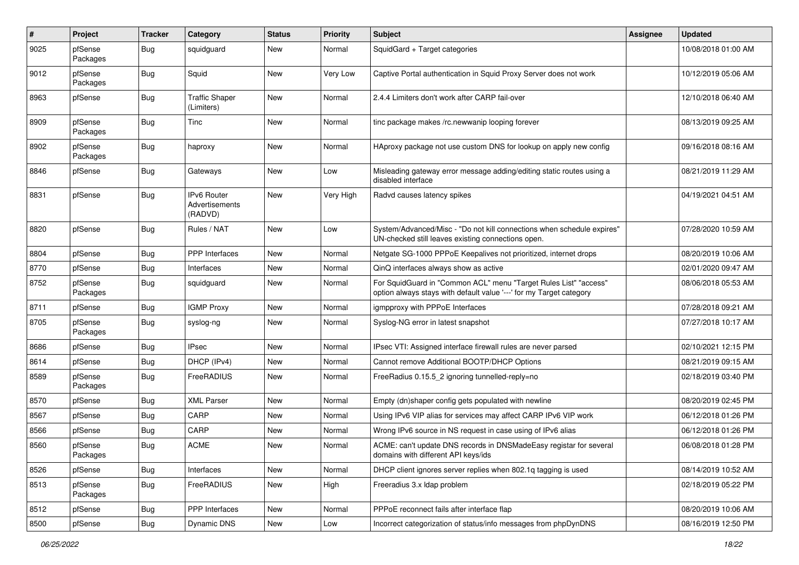| #    | Project             | <b>Tracker</b> | Category                                        | <b>Status</b> | <b>Priority</b> | <b>Subject</b>                                                                                                                          | <b>Assignee</b> | <b>Updated</b>      |
|------|---------------------|----------------|-------------------------------------------------|---------------|-----------------|-----------------------------------------------------------------------------------------------------------------------------------------|-----------------|---------------------|
| 9025 | pfSense<br>Packages | <b>Bug</b>     | squidguard                                      | New           | Normal          | SquidGard + Target categories                                                                                                           |                 | 10/08/2018 01:00 AM |
| 9012 | pfSense<br>Packages | Bug            | Squid                                           | New           | Very Low        | Captive Portal authentication in Squid Proxy Server does not work                                                                       |                 | 10/12/2019 05:06 AM |
| 8963 | pfSense             | Bug            | <b>Traffic Shaper</b><br>(Limiters)             | New           | Normal          | 2.4.4 Limiters don't work after CARP fail-over                                                                                          |                 | 12/10/2018 06:40 AM |
| 8909 | pfSense<br>Packages | Bug            | Tinc                                            | New           | Normal          | tinc package makes /rc.newwanip looping forever                                                                                         |                 | 08/13/2019 09:25 AM |
| 8902 | pfSense<br>Packages | Bug            | haproxy                                         | <b>New</b>    | Normal          | HAproxy package not use custom DNS for lookup on apply new config                                                                       |                 | 09/16/2018 08:16 AM |
| 8846 | pfSense             | Bug            | Gateways                                        | New           | Low             | Misleading gateway error message adding/editing static routes using a<br>disabled interface                                             |                 | 08/21/2019 11:29 AM |
| 8831 | pfSense             | <b>Bug</b>     | <b>IPv6 Router</b><br>Advertisements<br>(RADVD) | New           | Very High       | Radvd causes latency spikes                                                                                                             |                 | 04/19/2021 04:51 AM |
| 8820 | pfSense             | <b>Bug</b>     | Rules / NAT                                     | New           | Low             | System/Advanced/Misc - "Do not kill connections when schedule expires"<br>UN-checked still leaves existing connections open.            |                 | 07/28/2020 10:59 AM |
| 8804 | pfSense             | <b>Bug</b>     | <b>PPP</b> Interfaces                           | New           | Normal          | Netgate SG-1000 PPPoE Keepalives not prioritized, internet drops                                                                        |                 | 08/20/2019 10:06 AM |
| 8770 | pfSense             | <b>Bug</b>     | Interfaces                                      | <b>New</b>    | Normal          | QinQ interfaces always show as active                                                                                                   |                 | 02/01/2020 09:47 AM |
| 8752 | pfSense<br>Packages | <b>Bug</b>     | squidguard                                      | New           | Normal          | For SquidGuard in "Common ACL" menu "Target Rules List" "access"<br>option always stays with default value '---' for my Target category |                 | 08/06/2018 05:53 AM |
| 8711 | pfSense             | Bug            | <b>IGMP Proxy</b>                               | New           | Normal          | igmpproxy with PPPoE Interfaces                                                                                                         |                 | 07/28/2018 09:21 AM |
| 8705 | pfSense<br>Packages | <b>Bug</b>     | syslog-ng                                       | New           | Normal          | Syslog-NG error in latest snapshot                                                                                                      |                 | 07/27/2018 10:17 AM |
| 8686 | pfSense             | Bug            | <b>IPsec</b>                                    | New           | Normal          | IPsec VTI: Assigned interface firewall rules are never parsed                                                                           |                 | 02/10/2021 12:15 PM |
| 8614 | pfSense             | <b>Bug</b>     | DHCP (IPv4)                                     | New           | Normal          | Cannot remove Additional BOOTP/DHCP Options                                                                                             |                 | 08/21/2019 09:15 AM |
| 8589 | pfSense<br>Packages | <b>Bug</b>     | FreeRADIUS                                      | New           | Normal          | FreeRadius 0.15.5_2 ignoring tunnelled-reply=no                                                                                         |                 | 02/18/2019 03:40 PM |
| 8570 | pfSense             | Bug            | <b>XML Parser</b>                               | <b>New</b>    | Normal          | Empty (dn)shaper config gets populated with newline                                                                                     |                 | 08/20/2019 02:45 PM |
| 8567 | pfSense             | Bug            | CARP                                            | New           | Normal          | Using IPv6 VIP alias for services may affect CARP IPv6 VIP work                                                                         |                 | 06/12/2018 01:26 PM |
| 8566 | pfSense             | <b>Bug</b>     | CARP                                            | New           | Normal          | Wrong IPv6 source in NS request in case using of IPv6 alias                                                                             |                 | 06/12/2018 01:26 PM |
| 8560 | pfSense<br>Packages | Bug            | <b>ACME</b>                                     | New           | Normal          | ACME: can't update DNS records in DNSMadeEasy registar for several<br>domains with different API keys/ids                               |                 | 06/08/2018 01:28 PM |
| 8526 | pfSense             | <b>Bug</b>     | Interfaces                                      | New           | Normal          | DHCP client ignores server replies when 802.1q tagging is used                                                                          |                 | 08/14/2019 10:52 AM |
| 8513 | pfSense<br>Packages | <b>Bug</b>     | FreeRADIUS                                      | New           | High            | Freeradius 3.x Idap problem                                                                                                             |                 | 02/18/2019 05:22 PM |
| 8512 | pfSense             | <b>Bug</b>     | PPP Interfaces                                  | <b>New</b>    | Normal          | PPPoE reconnect fails after interface flap                                                                                              |                 | 08/20/2019 10:06 AM |
| 8500 | pfSense             | Bug            | Dynamic DNS                                     | New           | Low             | Incorrect categorization of status/info messages from phpDynDNS                                                                         |                 | 08/16/2019 12:50 PM |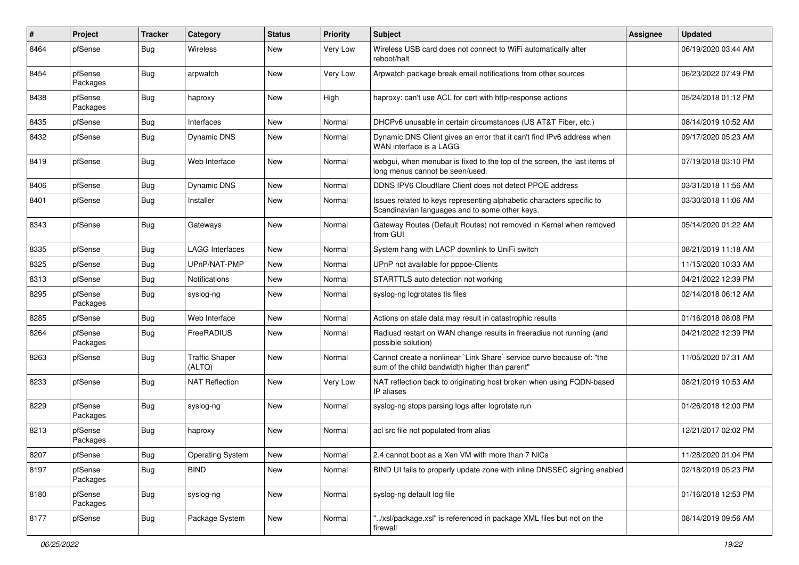| ∦    | Project             | Tracker    | Category                        | <b>Status</b> | <b>Priority</b> | <b>Subject</b>                                                                                                          | <b>Assignee</b> | <b>Updated</b>      |
|------|---------------------|------------|---------------------------------|---------------|-----------------|-------------------------------------------------------------------------------------------------------------------------|-----------------|---------------------|
| 8464 | pfSense             | <b>Bug</b> | Wireless                        | New           | Very Low        | Wireless USB card does not connect to WiFi automatically after<br>reboot/halt                                           |                 | 06/19/2020 03:44 AM |
| 8454 | pfSense<br>Packages | <b>Bug</b> | arpwatch                        | <b>New</b>    | Very Low        | Arpwatch package break email notifications from other sources                                                           |                 | 06/23/2022 07:49 PM |
| 8438 | pfSense<br>Packages | <b>Bug</b> | haproxy                         | <b>New</b>    | High            | haproxy: can't use ACL for cert with http-response actions                                                              |                 | 05/24/2018 01:12 PM |
| 8435 | pfSense             | <b>Bug</b> | Interfaces                      | <b>New</b>    | Normal          | DHCPv6 unusable in certain circumstances (US AT&T Fiber, etc.)                                                          |                 | 08/14/2019 10:52 AM |
| 8432 | pfSense             | <b>Bug</b> | <b>Dynamic DNS</b>              | <b>New</b>    | Normal          | Dynamic DNS Client gives an error that it can't find IPv6 address when<br>WAN interface is a LAGG                       |                 | 09/17/2020 05:23 AM |
| 8419 | pfSense             | <b>Bug</b> | Web Interface                   | <b>New</b>    | Normal          | webgui, when menubar is fixed to the top of the screen, the last items of<br>long menus cannot be seen/used.            |                 | 07/19/2018 03:10 PM |
| 8406 | pfSense             | <b>Bug</b> | Dynamic DNS                     | <b>New</b>    | Normal          | DDNS IPV6 Cloudflare Client does not detect PPOE address                                                                |                 | 03/31/2018 11:56 AM |
| 8401 | pfSense             | <b>Bug</b> | Installer                       | <b>New</b>    | Normal          | Issues related to keys representing alphabetic characters specific to<br>Scandinavian languages and to some other keys. |                 | 03/30/2018 11:06 AM |
| 8343 | pfSense             | Bug        | Gateways                        | <b>New</b>    | Normal          | Gateway Routes (Default Routes) not removed in Kernel when removed<br>from GUI                                          |                 | 05/14/2020 01:22 AM |
| 8335 | pfSense             | <b>Bug</b> | <b>LAGG Interfaces</b>          | <b>New</b>    | Normal          | System hang with LACP downlink to UniFi switch                                                                          |                 | 08/21/2019 11:18 AM |
| 8325 | pfSense             | <b>Bug</b> | UPnP/NAT-PMP                    | New           | Normal          | UPnP not available for pppoe-Clients                                                                                    |                 | 11/15/2020 10:33 AM |
| 8313 | pfSense             | <b>Bug</b> | <b>Notifications</b>            | <b>New</b>    | Normal          | STARTTLS auto detection not working                                                                                     |                 | 04/21/2022 12:39 PM |
| 8295 | pfSense<br>Packages | <b>Bug</b> | syslog-ng                       | New           | Normal          | syslog-ng logrotates tls files                                                                                          |                 | 02/14/2018 06:12 AM |
| 8285 | pfSense             | <b>Bug</b> | Web Interface                   | <b>New</b>    | Normal          | Actions on stale data may result in catastrophic results                                                                |                 | 01/16/2018 08:08 PM |
| 8264 | pfSense<br>Packages | <b>Bug</b> | FreeRADIUS                      | New           | Normal          | Radiusd restart on WAN change results in freeradius not running (and<br>possible solution)                              |                 | 04/21/2022 12:39 PM |
| 8263 | pfSense             | <b>Bug</b> | <b>Traffic Shaper</b><br>(ALTQ) | <b>New</b>    | Normal          | Cannot create a nonlinear `Link Share` service curve because of: "the<br>sum of the child bandwidth higher than parent" |                 | 11/05/2020 07:31 AM |
| 8233 | pfSense             | Bug        | <b>NAT Reflection</b>           | <b>New</b>    | Very Low        | NAT reflection back to originating host broken when using FQDN-based<br>IP aliases                                      |                 | 08/21/2019 10:53 AM |
| 8229 | pfSense<br>Packages | Bug        | syslog-ng                       | <b>New</b>    | Normal          | syslog-ng stops parsing logs after logrotate run                                                                        |                 | 01/26/2018 12:00 PM |
| 8213 | pfSense<br>Packages | <b>Bug</b> | haproxy                         | <b>New</b>    | Normal          | acl src file not populated from alias                                                                                   |                 | 12/21/2017 02:02 PM |
| 8207 | pfSense             | Bug        | <b>Operating System</b>         | New           | Normal          | 2.4 cannot boot as a Xen VM with more than 7 NICs                                                                       |                 | 11/28/2020 01:04 PM |
| 8197 | pfSense<br>Packages | <b>Bug</b> | <b>BIND</b>                     | New           | Normal          | BIND UI fails to properly update zone with inline DNSSEC signing enabled                                                |                 | 02/18/2019 05:23 PM |
| 8180 | pfSense<br>Packages | <b>Bug</b> | syslog-ng                       | New           | Normal          | syslog-ng default log file                                                                                              |                 | 01/16/2018 12:53 PM |
| 8177 | pfSense             | Bug        | Package System                  | New           | Normal          | "/xsl/package.xsl" is referenced in package XML files but not on the<br>firewall                                        |                 | 08/14/2019 09:56 AM |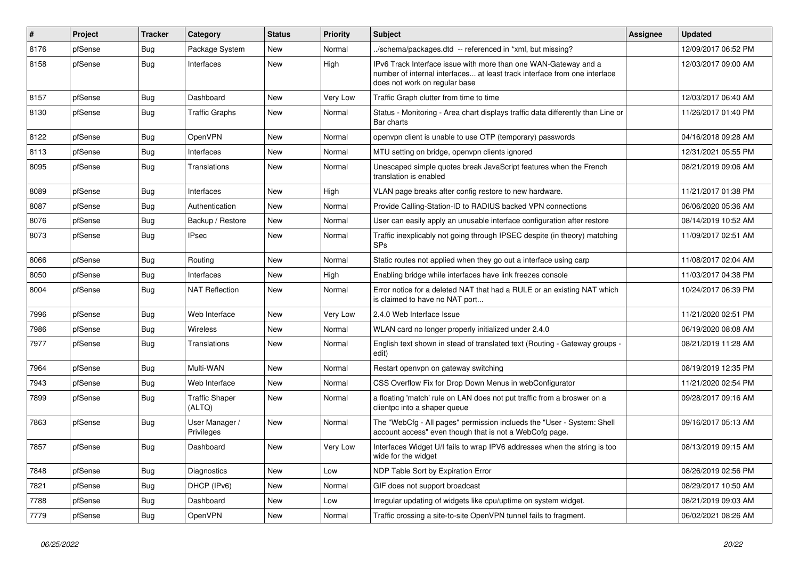| $\sharp$ | Project | <b>Tracker</b> | Category                        | <b>Status</b> | <b>Priority</b> | <b>Subject</b>                                                                                                                                                                | <b>Assignee</b> | <b>Updated</b>      |
|----------|---------|----------------|---------------------------------|---------------|-----------------|-------------------------------------------------------------------------------------------------------------------------------------------------------------------------------|-----------------|---------------------|
| 8176     | pfSense | <b>Bug</b>     | Package System                  | New           | Normal          | /schema/packages.dtd -- referenced in *xml, but missing?                                                                                                                      |                 | 12/09/2017 06:52 PM |
| 8158     | pfSense | <b>Bug</b>     | Interfaces                      | New           | High            | IPv6 Track Interface issue with more than one WAN-Gateway and a<br>number of internal interfaces at least track interface from one interface<br>does not work on regular base |                 | 12/03/2017 09:00 AM |
| 8157     | pfSense | <b>Bug</b>     | Dashboard                       | New           | Very Low        | Traffic Graph clutter from time to time                                                                                                                                       |                 | 12/03/2017 06:40 AM |
| 8130     | pfSense | <b>Bug</b>     | <b>Traffic Graphs</b>           | New           | Normal          | Status - Monitoring - Area chart displays traffic data differently than Line or<br>Bar charts                                                                                 |                 | 11/26/2017 01:40 PM |
| 8122     | pfSense | <b>Bug</b>     | OpenVPN                         | <b>New</b>    | Normal          | openvpn client is unable to use OTP (temporary) passwords                                                                                                                     |                 | 04/16/2018 09:28 AM |
| 8113     | pfSense | <b>Bug</b>     | Interfaces                      | New           | Normal          | MTU setting on bridge, openvpn clients ignored                                                                                                                                |                 | 12/31/2021 05:55 PM |
| 8095     | pfSense | Bug            | Translations                    | New           | Normal          | Unescaped simple quotes break JavaScript features when the French<br>translation is enabled                                                                                   |                 | 08/21/2019 09:06 AM |
| 8089     | pfSense | <b>Bug</b>     | Interfaces                      | <b>New</b>    | High            | VLAN page breaks after config restore to new hardware.                                                                                                                        |                 | 11/21/2017 01:38 PM |
| 8087     | pfSense | <b>Bug</b>     | Authentication                  | New           | Normal          | Provide Calling-Station-ID to RADIUS backed VPN connections                                                                                                                   |                 | 06/06/2020 05:36 AM |
| 8076     | pfSense | <b>Bug</b>     | Backup / Restore                | New           | Normal          | User can easily apply an unusable interface configuration after restore                                                                                                       |                 | 08/14/2019 10:52 AM |
| 8073     | pfSense | Bug            | <b>IPsec</b>                    | New           | Normal          | Traffic inexplicably not going through IPSEC despite (in theory) matching<br><b>SPs</b>                                                                                       |                 | 11/09/2017 02:51 AM |
| 8066     | pfSense | <b>Bug</b>     | Routing                         | New           | Normal          | Static routes not applied when they go out a interface using carp                                                                                                             |                 | 11/08/2017 02:04 AM |
| 8050     | pfSense | <b>Bug</b>     | Interfaces                      | <b>New</b>    | High            | Enabling bridge while interfaces have link freezes console                                                                                                                    |                 | 11/03/2017 04:38 PM |
| 8004     | pfSense | <b>Bug</b>     | <b>NAT Reflection</b>           | New           | Normal          | Error notice for a deleted NAT that had a RULE or an existing NAT which<br>is claimed to have no NAT port                                                                     |                 | 10/24/2017 06:39 PM |
| 7996     | pfSense | <b>Bug</b>     | Web Interface                   | New           | Very Low        | 2.4.0 Web Interface Issue                                                                                                                                                     |                 | 11/21/2020 02:51 PM |
| 7986     | pfSense | <b>Bug</b>     | <b>Wireless</b>                 | New           | Normal          | WLAN card no longer properly initialized under 2.4.0                                                                                                                          |                 | 06/19/2020 08:08 AM |
| 7977     | pfSense | <b>Bug</b>     | Translations                    | New           | Normal          | English text shown in stead of translated text (Routing - Gateway groups -<br>edit)                                                                                           |                 | 08/21/2019 11:28 AM |
| 7964     | pfSense | <b>Bug</b>     | Multi-WAN                       | New           | Normal          | Restart openvpn on gateway switching                                                                                                                                          |                 | 08/19/2019 12:35 PM |
| 7943     | pfSense | <b>Bug</b>     | Web Interface                   | <b>New</b>    | Normal          | CSS Overflow Fix for Drop Down Menus in webConfigurator                                                                                                                       |                 | 11/21/2020 02:54 PM |
| 7899     | pfSense | Bug            | <b>Traffic Shaper</b><br>(ALTQ) | New           | Normal          | a floating 'match' rule on LAN does not put traffic from a broswer on a<br>clientpc into a shaper queue                                                                       |                 | 09/28/2017 09:16 AM |
| 7863     | pfSense | <b>Bug</b>     | User Manager /<br>Privileges    | New           | Normal          | The "WebCfg - All pages" permission inclueds the "User - System: Shell<br>account access" even though that is not a WebCofg page.                                             |                 | 09/16/2017 05:13 AM |
| 7857     | pfSense | <b>Bug</b>     | Dashboard                       | New           | Very Low        | Interfaces Widget U/I fails to wrap IPV6 addresses when the string is too<br>wide for the widget                                                                              |                 | 08/13/2019 09:15 AM |
| 7848     | pfSense | Bug            | Diagnostics                     | New           | Low             | NDP Table Sort by Expiration Error                                                                                                                                            |                 | 08/26/2019 02:56 PM |
| 7821     | pfSense | <b>Bug</b>     | DHCP (IPv6)                     | New           | Normal          | GIF does not support broadcast                                                                                                                                                |                 | 08/29/2017 10:50 AM |
| 7788     | pfSense | <b>Bug</b>     | Dashboard                       | New           | Low             | Irregular updating of widgets like cpu/uptime on system widget.                                                                                                               |                 | 08/21/2019 09:03 AM |
| 7779     | pfSense | Bug            | OpenVPN                         | New           | Normal          | Traffic crossing a site-to-site OpenVPN tunnel fails to fragment.                                                                                                             |                 | 06/02/2021 08:26 AM |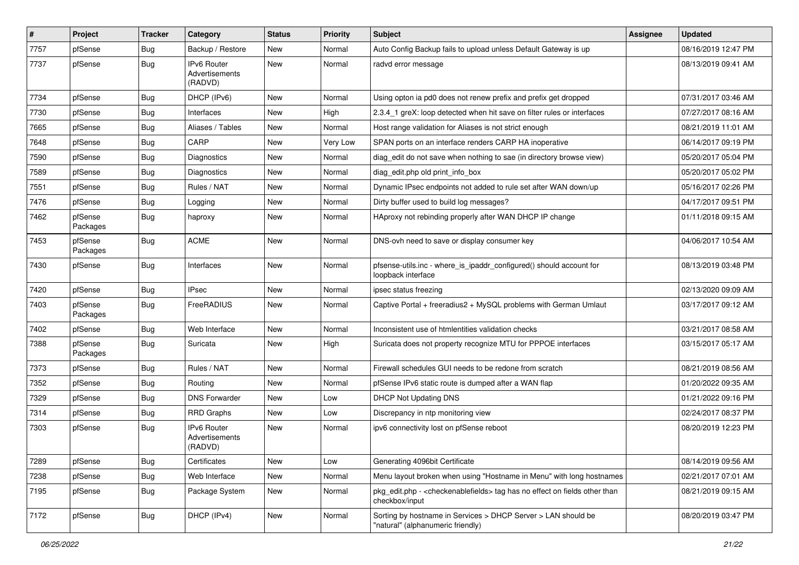| $\vert$ # | Project             | <b>Tracker</b> | Category                                 | <b>Status</b> | <b>Priority</b> | <b>Subject</b>                                                                                                   | <b>Assignee</b> | <b>Updated</b>      |
|-----------|---------------------|----------------|------------------------------------------|---------------|-----------------|------------------------------------------------------------------------------------------------------------------|-----------------|---------------------|
| 7757      | pfSense             | <b>Bug</b>     | Backup / Restore                         | New           | Normal          | Auto Config Backup fails to upload unless Default Gateway is up                                                  |                 | 08/16/2019 12:47 PM |
| 7737      | pfSense             | Bug            | IPv6 Router<br>Advertisements<br>(RADVD) | New           | Normal          | radvd error message                                                                                              |                 | 08/13/2019 09:41 AM |
| 7734      | pfSense             | <b>Bug</b>     | DHCP (IPv6)                              | <b>New</b>    | Normal          | Using opton ia pd0 does not renew prefix and prefix get dropped                                                  |                 | 07/31/2017 03:46 AM |
| 7730      | pfSense             | <b>Bug</b>     | Interfaces                               | New           | High            | 2.3.4 1 greX: loop detected when hit save on filter rules or interfaces                                          |                 | 07/27/2017 08:16 AM |
| 7665      | pfSense             | <b>Bug</b>     | Aliases / Tables                         | New           | Normal          | Host range validation for Aliases is not strict enough                                                           |                 | 08/21/2019 11:01 AM |
| 7648      | pfSense             | <b>Bug</b>     | CARP                                     | <b>New</b>    | Very Low        | SPAN ports on an interface renders CARP HA inoperative                                                           |                 | 06/14/2017 09:19 PM |
| 7590      | pfSense             | <b>Bug</b>     | <b>Diagnostics</b>                       | New           | Normal          | diag_edit do not save when nothing to sae (in directory browse view)                                             |                 | 05/20/2017 05:04 PM |
| 7589      | pfSense             | <b>Bug</b>     | Diagnostics                              | New           | Normal          | diag edit.php old print info box                                                                                 |                 | 05/20/2017 05:02 PM |
| 7551      | pfSense             | <b>Bug</b>     | Rules / NAT                              | New           | Normal          | Dynamic IPsec endpoints not added to rule set after WAN down/up                                                  |                 | 05/16/2017 02:26 PM |
| 7476      | pfSense             | <b>Bug</b>     | Logging                                  | New           | Normal          | Dirty buffer used to build log messages?                                                                         |                 | 04/17/2017 09:51 PM |
| 7462      | pfSense<br>Packages | <b>Bug</b>     | haproxy                                  | New           | Normal          | HAproxy not rebinding properly after WAN DHCP IP change                                                          |                 | 01/11/2018 09:15 AM |
| 7453      | pfSense<br>Packages | <b>Bug</b>     | <b>ACME</b>                              | New           | Normal          | DNS-ovh need to save or display consumer key                                                                     |                 | 04/06/2017 10:54 AM |
| 7430      | pfSense             | <b>Bug</b>     | Interfaces                               | New           | Normal          | pfsense-utils.inc - where_is_ipaddr_configured() should account for<br>loopback interface                        |                 | 08/13/2019 03:48 PM |
| 7420      | pfSense             | <b>Bug</b>     | <b>IPsec</b>                             | <b>New</b>    | Normal          | ipsec status freezing                                                                                            |                 | 02/13/2020 09:09 AM |
| 7403      | pfSense<br>Packages | <b>Bug</b>     | FreeRADIUS                               | New           | Normal          | Captive Portal + freeradius2 + MySQL problems with German Umlaut                                                 |                 | 03/17/2017 09:12 AM |
| 7402      | pfSense             | <b>Bug</b>     | Web Interface                            | New           | Normal          | Inconsistent use of htmlentities validation checks                                                               |                 | 03/21/2017 08:58 AM |
| 7388      | pfSense<br>Packages | <b>Bug</b>     | Suricata                                 | New           | High            | Suricata does not property recognize MTU for PPPOE interfaces                                                    |                 | 03/15/2017 05:17 AM |
| 7373      | pfSense             | <b>Bug</b>     | Rules / NAT                              | New           | Normal          | Firewall schedules GUI needs to be redone from scratch                                                           |                 | 08/21/2019 08:56 AM |
| 7352      | pfSense             | <b>Bug</b>     | Routing                                  | New           | Normal          | pfSense IPv6 static route is dumped after a WAN flap                                                             |                 | 01/20/2022 09:35 AM |
| 7329      | pfSense             | <b>Bug</b>     | <b>DNS Forwarder</b>                     | New           | Low             | DHCP Not Updating DNS                                                                                            |                 | 01/21/2022 09:16 PM |
| 7314      | pfSense             | <b>Bug</b>     | <b>RRD Graphs</b>                        | New           | Low             | Discrepancy in ntp monitoring view                                                                               |                 | 02/24/2017 08:37 PM |
| 7303      | pfSense             | <b>Bug</b>     | IPv6 Router<br>Advertisements<br>(RADVD) | New           | Normal          | ipv6 connectivity lost on pfSense reboot                                                                         |                 | 08/20/2019 12:23 PM |
| 7289      | pfSense             | <b>Bug</b>     | Certificates                             | New           | Low             | Generating 4096bit Certificate                                                                                   |                 | 08/14/2019 09:56 AM |
| 7238      | pfSense             | <b>Bug</b>     | Web Interface                            | New           | Normal          | Menu layout broken when using "Hostname in Menu" with long hostnames                                             |                 | 02/21/2017 07:01 AM |
| 7195      | pfSense             | <b>Bug</b>     | Package System                           | New           | Normal          | pkg_edit.php - <checkenablefields> tag has no effect on fields other than<br/>checkbox/input</checkenablefields> |                 | 08/21/2019 09:15 AM |
| 7172      | pfSense             | <b>Bug</b>     | DHCP (IPv4)                              | New           | Normal          | Sorting by hostname in Services > DHCP Server > LAN should be<br>"natural" (alphanumeric friendly)               |                 | 08/20/2019 03:47 PM |